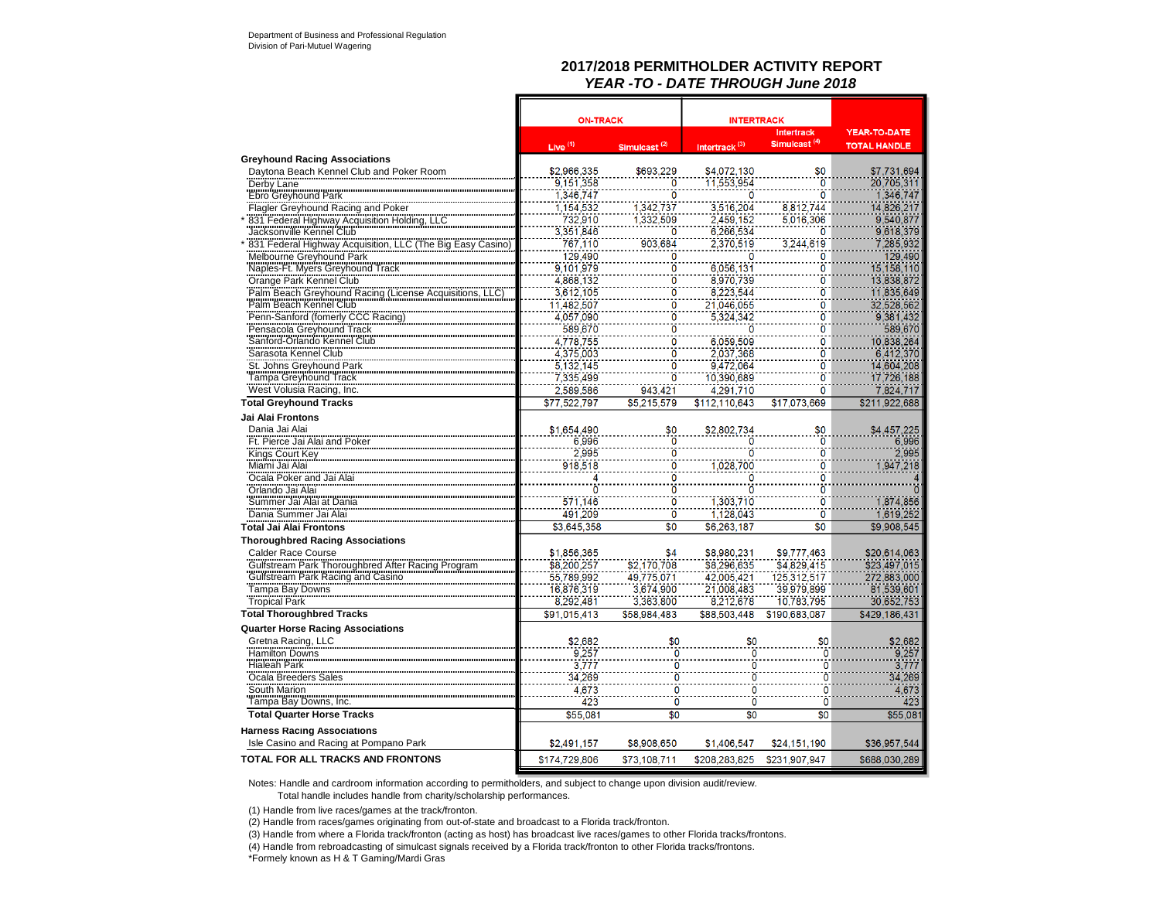## **2017/2018 PERMITHOLDER ACTIVITY REPORT***YEAR -TO - DATE THROUGH June 2018*

|                                                        | <b>ON-TRACK</b> |                          | <b>INTERTRACK</b>         |                          |                     |
|--------------------------------------------------------|-----------------|--------------------------|---------------------------|--------------------------|---------------------|
|                                                        |                 |                          |                           | <b>Intertrack</b>        | <b>YEAR-TO-DATE</b> |
|                                                        | Live $(1)$      | Simulcast <sup>(2)</sup> | Intertrack <sup>(3)</sup> | Simulcast <sup>(4)</sup> | <b>TOTAL HANDLE</b> |
| <b>Greyhound Racing Associations</b>                   |                 |                          |                           |                          |                     |
| Daytona Beach Kennel Club and Poker Room               | \$2,966,335     | \$693,229                | \$4,072,130               | \$0                      | \$7,731,694         |
| Derby Lane                                             | 9,151,358       | 0                        | 11,553,954                | Ö                        | 20,705,311          |
| <b>Ebro Greyhound Park</b>                             | 1.346.747       | ö                        |                           | $\ddot{\mathbf{0}}$      | 1.346.747           |
| Flagler Greyhound Racing and Poker                     | 1,154,532       | 1,342,737                | 3,516,204                 | 8,812,744                | 14,826,217          |
| 831 Federal Highway Acquisition Holding, LLC           | 732,910         | 1,332,509                | 2,459,152                 | 5,016,306                | 9,540,877           |
| Jacksonville Kennel Club                               | 3,351,846       | ö                        | 6.266.534                 | Ō                        | 9,618,379           |
| 831 Federal Highway Acquisition, LLC (The Big Easy     | 767,110         | 903,684                  | 2,370,519                 | 3,244,619                | 7,285,932           |
| Melbourne Greyhound Park                               | 129,490         | 0                        | 0                         | 0                        | 129,490             |
| Naples-Ft. Myers Greyhound Track                       | 9,101,979       | ö                        | 6,056,131                 | ö                        | 15, 158, 110        |
| Orange Park Kennel Club                                | 4.868.132       | ö                        | 8,970,739                 | ö                        | 13,838,872          |
| Palm Beach Greyhound Racing (License Acquisitions, LLC | 3,612,105       | ö                        | 8,223,544                 | ö                        | 11,835,649          |
| Palm Beach Kennel Club                                 | 11,482,507      | ö                        | 21,046,055                | ö                        | 32,528,562          |
| Penn-Sanford (fomerly CCC Racing)                      | 4.057.090       | ö                        | 5.324.342                 | $\ddot{0}$               | 9.381.432           |
| Pensacola Greyhound Track                              | 589,670         | ö                        |                           | ö                        | 589,670             |
| Sanford-Orlando Kennel Club                            | 4,778,755       | $\ddot{\mathbf{0}}$      | 6,059,509                 | $\overline{0}$           | 10,838,264          |
| Sarasota Kennel Club                                   | 4,375,003       | ö                        | 2,037,368                 | ö                        | 6,412,370           |
| St. Johns Greyhound Park                               | 5,132,145       | $\ddot{\mathbf{0}}$      | 9,472,064                 | $\dot{0}$                | 14,604,208          |
| Tampa Greyhound Track                                  | 7,335,499       | ö                        | 10,390,689                | ö                        | 17,726,188          |
| West Volusia Racing, Inc.                              | 2,589,586       | 943.421                  | 4.291.710                 | $\ddot{\mathbf{0}}$      | 7.824.717           |
| <b>Total Greyhound Tracks</b>                          | \$77,522,797    | \$5,215,579              | \$112,110,643             | \$17,073,669             | \$211,922,688       |
|                                                        |                 |                          |                           |                          |                     |
| Jai Alai Frontons                                      |                 |                          |                           |                          |                     |
| Dania Jai Alai                                         | \$1.654.490     | \$0                      | \$2,802,734               | \$0                      | \$4,457,225         |
| Ft. Pierce Jai Alai and Poker                          | 6,996           | $\overline{0}$           | 0                         | Ō                        | 6.996               |
| Kings Court Key                                        | 2.995           | $\ddot{\circ}$           | ö                         | Ō                        | 2.995               |
| Miami Jai Alai                                         | 918,518         | $\overline{0}$           | 1,028,700                 | ö                        | ,947,218            |
| Ocala Poker and Jai Alai                               |                 | 0                        |                           | $\ddot{\mathbf{0}}$      |                     |
| Orlando Jai Alai                                       |                 | 0                        |                           | ö                        |                     |
| Summer Jai Alai at Dania                               | 571,146         | $\overline{0}$           | 1.303.710                 | $\ddot{\mathbf{0}}$      | 1.874.856           |
| Dania Summer Jai Alai                                  | 491,209         | $\overline{0}$           | 1,128,043                 | $\ddot{\mathbf{0}}$      | 1,619,252           |
| <b>Total Jai Alai Frontons</b>                         | \$3,645,358     | \$0                      | \$6,263,187               | \$0                      | \$9,908,545         |
| <b>Thoroughbred Racing Associations</b>                |                 |                          |                           |                          |                     |
| <b>Calder Race Course</b>                              | \$1,856,365     | \$4                      | \$8,980,231               | \$9,777,463              | \$20,614,063        |
| Gulfstream Park Thoroughbred After Racing Program      | \$8,200,257     | \$2,170,708              | \$8,296,635               | \$4,829,415              | \$23,497,015        |
| Gulfstream Park Racing and Casino                      | 55.789.992      | 49.775.071               | 42,005,421                | 125,312,517              | 272,883,000         |
| Tampa Bay Downs                                        | 16,876,319      | 3,674,900                | 21,008,483                | 39.979.899               | 81,539,601          |
| <b>Tropical Park</b>                                   | 8.292.481       | 3.363.800                | 8,212,678                 | 10.783.795               | 30.652.753          |
| <b>Total Thoroughbred Tracks</b>                       | \$91.015.413    | \$58.984.483             | \$88,503,448              | \$190,683,087            | \$429,186,431       |
| <b>Quarter Horse Racing Associations</b>               |                 |                          |                           |                          |                     |
| Gretna Racing, LLC                                     | \$2,682         | \$0                      | \$0                       | \$0                      | \$2,682             |
| Hamilton Downs                                         | 9.257           | 0                        | ö                         | $\mathbf{0}$             | 9,257               |
|                                                        | 3,777           | $\frac{1}{0}$            | $\frac{8}{10}$            | Ó                        | 3.777               |
| <b>Hialeah Park</b><br>Ocala Breeders Sales            | 34.269          | ö                        | ö                         | Ō                        | 34.269              |
| South Marion                                           | 4.673           | $\ddot{\mathbf{0}}$      | $\overline{0}$            | Ō                        | 4,673               |
|                                                        | 423             | ö                        | ö                         |                          |                     |
| Tampa Bay Downs, Inc.                                  |                 |                          |                           | 0                        | 423                 |
| <b>Total Quarter Horse Tracks</b>                      | \$55,081        | \$0                      | \$0                       | \$0                      | \$55,081            |
| <b>Harness Racing Associations</b>                     |                 |                          |                           |                          |                     |
| Isle Casino and Racing at Pompano Park                 | \$2,491,157     | \$8,908,650              | \$1,406,547               | \$24,151,190             | \$36,957,544        |
| <b>TOTAL FOR ALL TRACKS AND FRONTONS</b>               | \$174,729,806   | \$73,108,711             | \$208.283.825             | \$231.907.947            | \$688,030,289       |
|                                                        |                 |                          |                           |                          |                     |

Notes: Handle and cardroom information according to permitholders, and subject to change upon division audit/review.

Total handle includes handle from charity/scholarship performances.

(1) Handle from live races/games at the track/fronton.

(2) Handle from races/games originating from out-of-state and broadcast to a Florida track/fronton.

(3) Handle from where a Florida track/fronton (acting as host) has broadcast live races/games to other Florida tracks/frontons.

(4) Handle from rebroadcasting of simulcast signals received by a Florida track/fronton to other Florida tracks/frontons.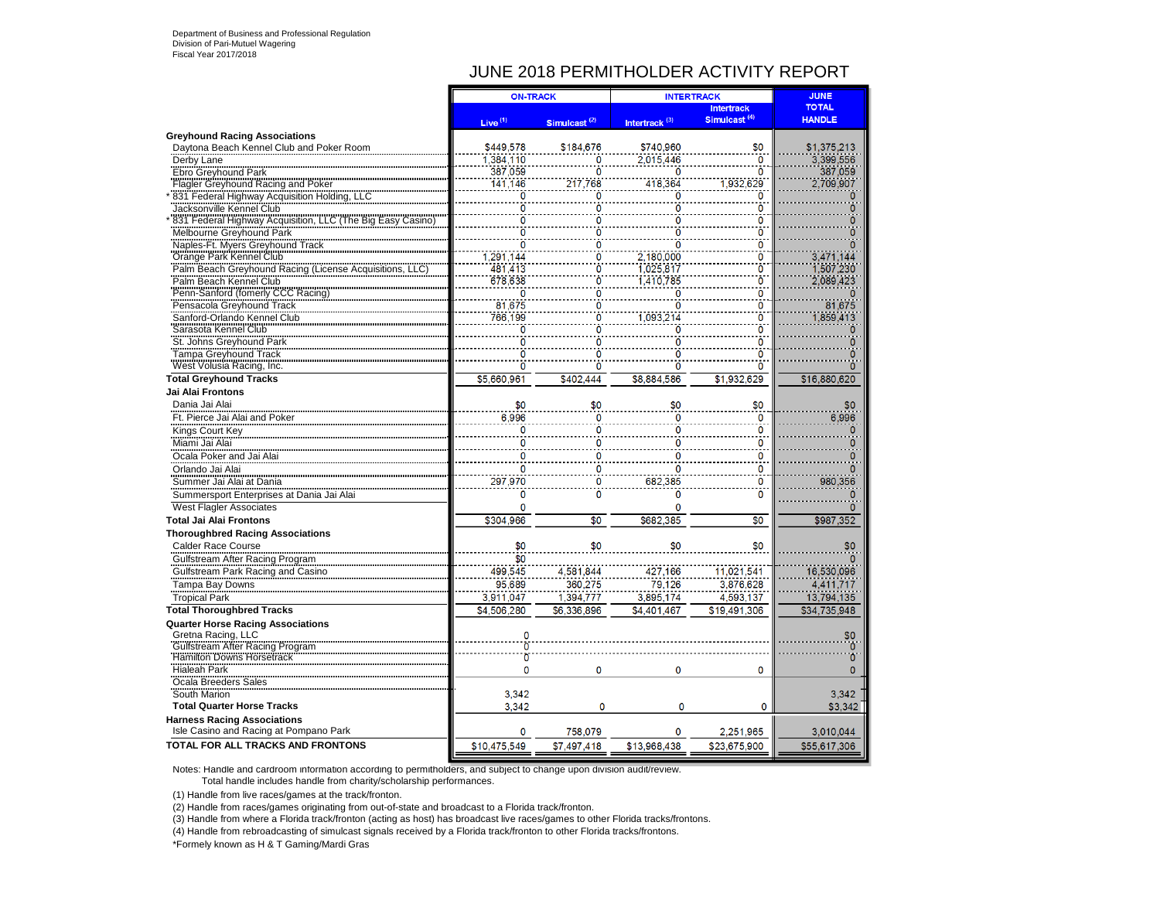# JUNE 2018 PERMITHOLDER ACTIVITY REPORT

|                                                                                 | <b>ON-TRACK</b>     |                                                 | <b>INTERTRACK</b>         |                          | <b>JUNE</b>    |
|---------------------------------------------------------------------------------|---------------------|-------------------------------------------------|---------------------------|--------------------------|----------------|
|                                                                                 |                     |                                                 |                           | <b>Intertrack</b>        | <b>TOTAL</b>   |
|                                                                                 | Live <sup>(1)</sup> | Simulcast <sup>(2)</sup>                        | Intertrack <sup>(3)</sup> | Simulcast <sup>(4)</sup> | <b>HANDLE</b>  |
| <b>Greyhound Racing Associations</b>                                            |                     |                                                 |                           |                          |                |
| Daytona Beach Kennel Club and Poker Room                                        | \$449,578           | \$184,676                                       | \$740,960                 | \$0                      | \$1,375,213    |
| Derby Lane                                                                      | 1,384,110           | 0                                               | 2,015,446                 | ö                        | 3,399,556      |
| Ebro Greyhound Park                                                             | 387,059             | Ö                                               | ö                         | Ō                        | 387,059        |
| Flagler Greyhound Racing and Poker                                              | 141.146             | 217,768                                         | 418,364                   | 1.932.629                | 2.709.907      |
| 831 Federal Highway Acquisition Holding, LLC                                    | ō                   | Ō                                               | ö                         | Ō                        |                |
| Jacksonville Kennel Club                                                        | ö                   | 0                                               | ö                         | Ô                        |                |
| 831 Federal Highway Acquisition, LLC (The Big Easy Casino)                      | ö                   | ö                                               | ö                         | Ö                        |                |
| Melbourne Greyhound Park                                                        | ö                   | Ō                                               | ö                         | Ō                        |                |
| Naples-Ft. Myers Greyhound Track                                                | ö                   |                                                 | $\Omega$                  | O                        | n              |
| Crange Park Kennel Club<br>Palm Beach Greyhound Racing (License Acquisitions, I | ,291,144            | $\frac{0}{0}$                                   | 2,180,000                 | Ö                        | 3,471,144      |
|                                                                                 | 481,413             |                                                 | 1,025,817                 | ö                        | 1,507,230      |
| Palm Beach Kennel Club                                                          | 678,638             |                                                 | 1.410.785                 | Ō                        | 2.089.423      |
| Penn-Sanford (fomerly CCC Racing)                                               | ö                   |                                                 | 0                         | Ō                        |                |
| Pensacola Greyhound Track                                                       | 81.675              | $\begin{array}{c} 0 \\ 0 \\ 0 \\ 0 \end{array}$ | ö                         | Ō                        | 81.675         |
| Sanford-Orlando Kennel Club                                                     | 766.199             |                                                 | 1,093,214                 | Ò                        | 1.859.413      |
| Sarasota Kennel Club                                                            | ō                   | Ö                                               | $\overline{0}$            | $\ddot{\mathbf{0}}$      | 0              |
| St. Johns Greyhound Park                                                        | ö                   | Ō                                               | ö                         | $\ddot{\mathbf{0}}$      |                |
| <b>Tampa Greyhound Track</b>                                                    | ō                   | Ō                                               | $\overline{0}$            | Ō                        | 0              |
| West Volusia Racing, Inc.                                                       | n                   | $\overline{0}$                                  | $\bf{0}$                  | Ō                        | 0              |
|                                                                                 |                     |                                                 |                           |                          |                |
| <b>Total Greyhound Tracks</b>                                                   | \$5,660,961         | \$402,444                                       | \$8,884,586               | \$1,932,629              | \$16,880,620   |
| Jai Alai Frontons                                                               |                     |                                                 |                           |                          |                |
| Dania Jai Alai                                                                  | \$0                 | \$0                                             | \$0                       | \$0                      | \$0            |
| Ft. Pierce Jai Alai and Poker                                                   | 6,996               | $\mathbf 0$                                     | $\mathbf 0$               | $\mathbf 0$              | 6,996          |
| Kings Court Key                                                                 | O                   | $\overline{0}$                                  | $\Omega$                  | $\overline{0}$           | $\Omega$       |
| Miami Jai Alai                                                                  | 0                   | 0                                               | 0                         | 0                        |                |
| Ocala Poker and Jai Alai                                                        | O                   | Ō                                               | $\overline{0}$            | Ö                        | 0              |
| Orlando Jai Alai                                                                | 0                   | 0                                               | 0                         | 0                        | 0              |
| Summer Jai Alai at Dania                                                        | 297,970             | 0                                               | 682,385                   | $\mathbf{0}$             | 980,356        |
| Summersport Enterprises at Dania Jai Alai                                       | ō                   | ö                                               | $\overline{0}$            | ö                        |                |
| <b>West Flagler Associates</b>                                                  | 0                   |                                                 | $\mathbf{0}$              |                          | 0              |
| <b>Total Jai Alai Frontons</b>                                                  | \$304.966           | $\overline{30}$                                 | \$682.385                 | $\overline{30}$          | \$987.352      |
|                                                                                 |                     |                                                 |                           |                          |                |
| <b>Thoroughbred Racing Associations</b>                                         |                     |                                                 |                           |                          |                |
| <b>Calder Race Course</b>                                                       | \$0                 | \$0                                             | \$0                       | \$0                      | \$0            |
| Gulfstream After Racing Program                                                 | $\overline{\$0}$    |                                                 |                           |                          | o              |
| Gulfstream Park Racing and Casino                                               | 499,545             | 4,581,844                                       | 427,166                   | 11,021,541               | 16,530,096     |
| Tampa Bay Downs                                                                 | 95.689              | 360,275                                         | 79.126                    | 3,876,628                | 4,411,717      |
| <b>Tropical Park</b>                                                            | 3.911.047           | 1.394.777                                       | 3.895.174                 | 4.593.137                | 13,794,135     |
| <b>Total Thoroughbred Tracks</b>                                                | \$4,506,280         | \$6,336,896                                     | \$4,401,467               | \$19,491,306             | \$34,735,948   |
| <b>Quarter Horse Racing Associations</b>                                        |                     |                                                 |                           |                          |                |
| Gretna Racing, LLC                                                              |                     |                                                 |                           |                          | \$0            |
| <b>Gulfstream After Racing Program</b>                                          | $\ddot{\mathbf{0}}$ |                                                 |                           |                          |                |
| Hamilton Downs Horsetrack                                                       | $\overline{0}$      |                                                 |                           |                          | $\overline{0}$ |
| Hialeah Park                                                                    | 0                   | 0                                               | $\Omega$                  | 0                        | $\overline{0}$ |
| Ocala Breeders Sales                                                            |                     |                                                 |                           |                          |                |
| South Marion                                                                    | 3.342               |                                                 |                           |                          | 3.342          |
| <b>Total Quarter Horse Tracks</b>                                               | 3.342               | $\Omega$                                        | $\Omega$                  | 0                        | \$3,342        |
| <b>Harness Racing Associations</b>                                              |                     |                                                 |                           |                          |                |
| Isle Casino and Racing at Pompano Park                                          | 0                   | 758,079                                         | 0                         | 2,251,965                | 3,010,044      |
| TOTAL FOR ALL TRACKS AND FRONTONS                                               | \$10,475,549        | \$7,497,418                                     | \$13.968.438              | \$23,675,900             |                |
|                                                                                 |                     |                                                 |                           |                          | \$55,617,306   |

Notes: Handle and cardroom information according to permitholders, and subject to change upon division audit/review. Total handle includes handle from charity/scholarship performances.

(1) Handle from live races/games at the track/fronton.

(2) Handle from races/games originating from out-of-state and broadcast to a Florida track/fronton.

(3) Handle from where a Florida track/fronton (acting as host) has broadcast live races/games to other Florida tracks/frontons.

(4) Handle from rebroadcasting of simulcast signals received by a Florida track/fronton to other Florida tracks/frontons.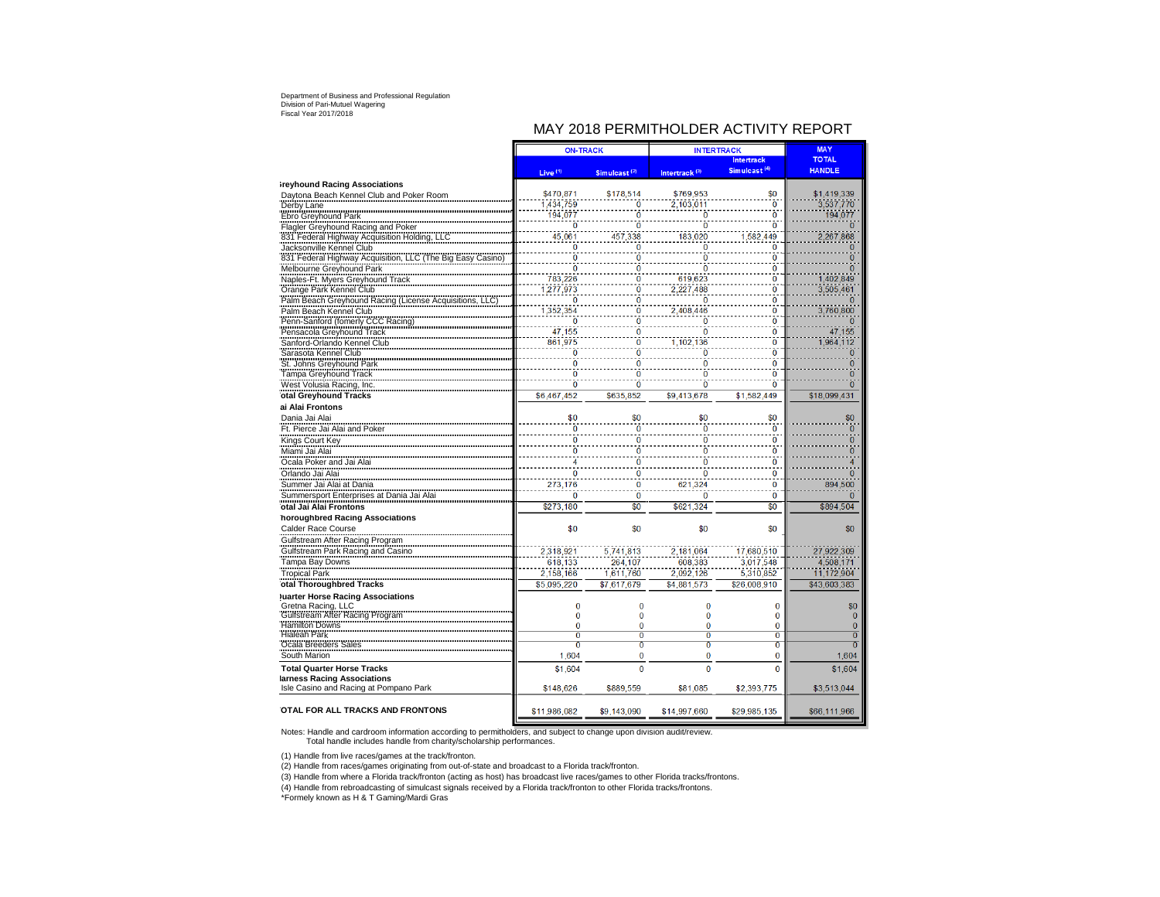# MAY 2018 PERMITHOLDER ACTIVITY REPORT

|                                                                                                                                                     | <b>ON-TRACK</b>      |                          | <b>INTERTRACK</b>         |                            | <b>MAY</b>                  |
|-----------------------------------------------------------------------------------------------------------------------------------------------------|----------------------|--------------------------|---------------------------|----------------------------|-----------------------------|
|                                                                                                                                                     |                      |                          |                           | <b>Intertrack</b>          | <b>TOTAL</b>                |
|                                                                                                                                                     | Live <sup>(1)</sup>  | Simulcast <sup>(2)</sup> | Intertrack <sup>(3)</sup> | Simulcast <sup>(4)</sup>   | <b>HANDLE</b>               |
| <b>Ireyhound Racing Associations</b>                                                                                                                |                      |                          |                           |                            |                             |
| Daytona Beach Kennel Club and Poker Room                                                                                                            | \$470.871            | \$178.514                | \$769.953                 | \$0<br>$\ddot{\mathbf{0}}$ | \$1.419.339                 |
| Derby Lane                                                                                                                                          | 1,434,759<br>194,077 | $\overline{0}$<br>ö      | 2,103,011<br>Ō            | $\ddot{\mathbf{0}}$        | 3,537,770<br>194,077        |
| Ebro Greyhound Park                                                                                                                                 | Ō                    | Ō                        | $\ddot{\mathbf{0}}$       | $\ddot{\mathbf{0}}$        | $\overline{0}$              |
| Export Creyhound Racing and Poker<br>Tlagler Greyhound Racing and Poker<br>331 Federal Highway Acquisition Holding, LLC<br>Jacksonville Kennel Club | 45.061               | 457,338                  | 183,020                   | ,582,449                   | 2,267,868                   |
|                                                                                                                                                     | Ō                    | $\Omega$                 | $\Omega$                  | $\bf{0}$                   | $\Omega$                    |
| 831 Federal Highway Acquisition, LLC (The Big Easy Casino)                                                                                          | $\ddot{\mathbf{0}}$  | ö                        | ō                         | Ö                          | $\overline{0}$              |
| Melbourne Greyhound Park                                                                                                                            | ō                    | Ō                        | Ō                         | $\bf{0}$                   | $\Omega$                    |
| Naples-Ft. Myers Greyhound Track                                                                                                                    | 783,226              | Ō                        | 619,623                   | $\overline{0}$             | 1.402.849                   |
| Napies-Fit. Inversion Club<br>Orange Park Kennel Club<br>Palm Beach Greyhound Racing (License Acquisitions, LLC)                                    | 1,277,973            | $\bf{0}$                 | 2,227,488                 | $\ddot{\mathbf{0}}$        | 3,505,461                   |
|                                                                                                                                                     | $\overline{0}$       | $\bf{0}$                 | $\Omega$                  | $\ddot{\mathbf{0}}$        |                             |
| Palm Beach Kennel Club                                                                                                                              | 1,352,354            | ö                        | 2,408,446                 | $\bf{0}$                   | 3,760,800                   |
| Penn-Sanford (fomerly CCC Racing)                                                                                                                   | $\overline{0}$       | Ö                        | $\overline{0}$            | $\ddot{\mathbf{0}}$        |                             |
|                                                                                                                                                     | 47,155<br>861.975    | Ō<br>Ō                   | ō                         | Ō<br>$\overline{0}$        | 47,155                      |
| Pensacola Greyhound Track<br>Sanford-Orlando Kennel Club<br>Sanford-Orlando Kennel Club<br>Sarasota Kennel Club                                     | $\overline{0}$       | Ō                        | 1,102,136<br>$\bf{0}$     | $\overline{0}$             | 1,964,112<br>$\overline{0}$ |
| St. Johns Greyhound Park                                                                                                                            | ö                    | ö                        | Ō                         | $\overline{0}$             | ö                           |
|                                                                                                                                                     | ō                    | Ō                        | $\overline{0}$            | $\overline{0}$             | $\overline{0}$              |
| Tampa Greyhound Track<br>West Volusia Racing, Inc.                                                                                                  | ō                    | Ō                        | Ō                         | $\overline{0}$             | $\overline{0}$              |
| otal Greyhound Tracks                                                                                                                               | \$6,467,452          | \$635,852                | \$9,413,678               | \$1,582,449                | \$18,099,431                |
| ai Alai Frontons                                                                                                                                    |                      |                          |                           |                            |                             |
| Dania Jai Alai                                                                                                                                      | \$0                  | \$0                      | \$0                       | \$0                        | \$0                         |
| Ft. Pierce Jai Alai and Poker                                                                                                                       | Ö                    | $\overline{\mathbf{0}}$  | $\bf{0}$                  | $\bf{0}$                   | $\overline{\mathbf{0}}$     |
| Kings Court Key                                                                                                                                     | $\ddot{\mathbf{0}}$  | $\overline{0}$           | ō                         | $\bf{0}$                   | $\overline{0}$              |
| Miami Jai Alai                                                                                                                                      | $\overline{0}$       | ö                        | $\ddot{\mathbf{0}}$       | $\bf{0}$                   | $\bf{0}$                    |
| Ocala Poker and Jai Alai                                                                                                                            | 4                    | Ö                        | $\overline{0}$            | $\overline{0}$             | 4                           |
| Orlando Jai Alai                                                                                                                                    | $\bf{0}$             | $\bf{0}$                 | $\bf{0}$                  | $\bf{0}$                   | $\Omega$                    |
| Summer Jai Alai at Dania                                                                                                                            | 273,176              | $\bf{0}$                 | 621,324                   | $\bf{0}$                   | 894,500                     |
| Summersport Enterprises at Dania Jai Alai                                                                                                           | $\overline{0}$       | õ                        | $\Omega$                  | $\overline{0}$             | $\Omega$                    |
| otal Jai Alai Frontons                                                                                                                              | \$273.180            | $\overline{60}$          | \$621.324                 | \$0                        | \$894,504                   |
| horoughbred Racing Associations                                                                                                                     |                      |                          |                           |                            |                             |
| Calder Race Course                                                                                                                                  | \$0                  | \$0                      | \$0                       | \$0                        | \$0                         |
| Gulfstream After Racing Program                                                                                                                     |                      |                          |                           |                            |                             |
| Gulfstream Park Racing and Casino                                                                                                                   | 2,318,921            | 5,741,813                | 2,181,064                 | 17,680,510                 | 27,922,309                  |
| Tampa Bay Downs<br>Tropical Park                                                                                                                    | 618.133              | 264.107                  | 608.383                   | 3,017,548                  | 4.508.171                   |
| otal Thoroughbred Tracks                                                                                                                            | 2,158,166            | 1,611,760<br>\$7.617.679 | 2,092,126                 | 5,310,852                  | 11,172,904                  |
|                                                                                                                                                     | \$5,095,220          |                          | \$4,881,573               | \$26,008,910               | \$43,603,383                |
| <b>luarter Horse Racing Associations</b><br>Gretna Racing, LLC                                                                                      | $\bf{0}$             | $\bf{0}$                 | $\bf{0}$                  | 0                          | \$0                         |
|                                                                                                                                                     | $\bf{0}$             | $\bf{0}$                 | $\bf{0}$                  | 0                          | $\overline{0}$              |
| Gulfstream After Racing Program                                                                                                                     | $\bf{0}$             | $\overline{0}$           | $\overline{0}$            | $\overline{0}$             | $\mathbf{0}$                |
| Hialeah Park                                                                                                                                        | $\overline{0}$       | Ō                        | $\overline{0}$            | $\overline{0}$             | $\overline{0}$              |
| Ocala Breeders Sales                                                                                                                                | $\overline{0}$       | $\overline{\mathbf{0}}$  | $\overline{0}$            | $\overline{0}$             | $\overline{0}$              |
| South Marion                                                                                                                                        | 1,604                | $\overline{0}$           | $\overline{0}$            | 0                          | 1,604                       |
| <b>Total Quarter Horse Tracks</b>                                                                                                                   | \$1,604              | $\Omega$                 | $\Omega$                  | $\Omega$                   | \$1,604                     |
| larness Racing Associations                                                                                                                         |                      |                          |                           |                            |                             |
| Isle Casino and Racing at Pompano Park                                                                                                              | \$148,626            | \$889,559                | \$81,085                  | \$2,393,775                | \$3,513,044                 |
| OTAL FOR ALL TRACKS AND FRONTONS                                                                                                                    | \$11,986,082         | \$9,143,090              | \$14,997,660              | \$29,985,135               | \$66,111,966                |
|                                                                                                                                                     |                      |                          |                           |                            |                             |

Notes: Handle and cardroom information according to permitholders, and subject to change upon division audit/review. Total handle includes handle from charity/scholarship performances.

(1) Handle from live races/games at the track/fronton.

(2) Handle from races/games originating from out-of-state and broadcast to a Florida track/fronton.

(3) Handle from where a Florida track/fronton (acting as host) has broadcast live races/games to other Florida tracks/frontons.

(4) Handle from rebroadcasting of simulcast signals received by a Florida track/fronton to other Florida tracks/frontons.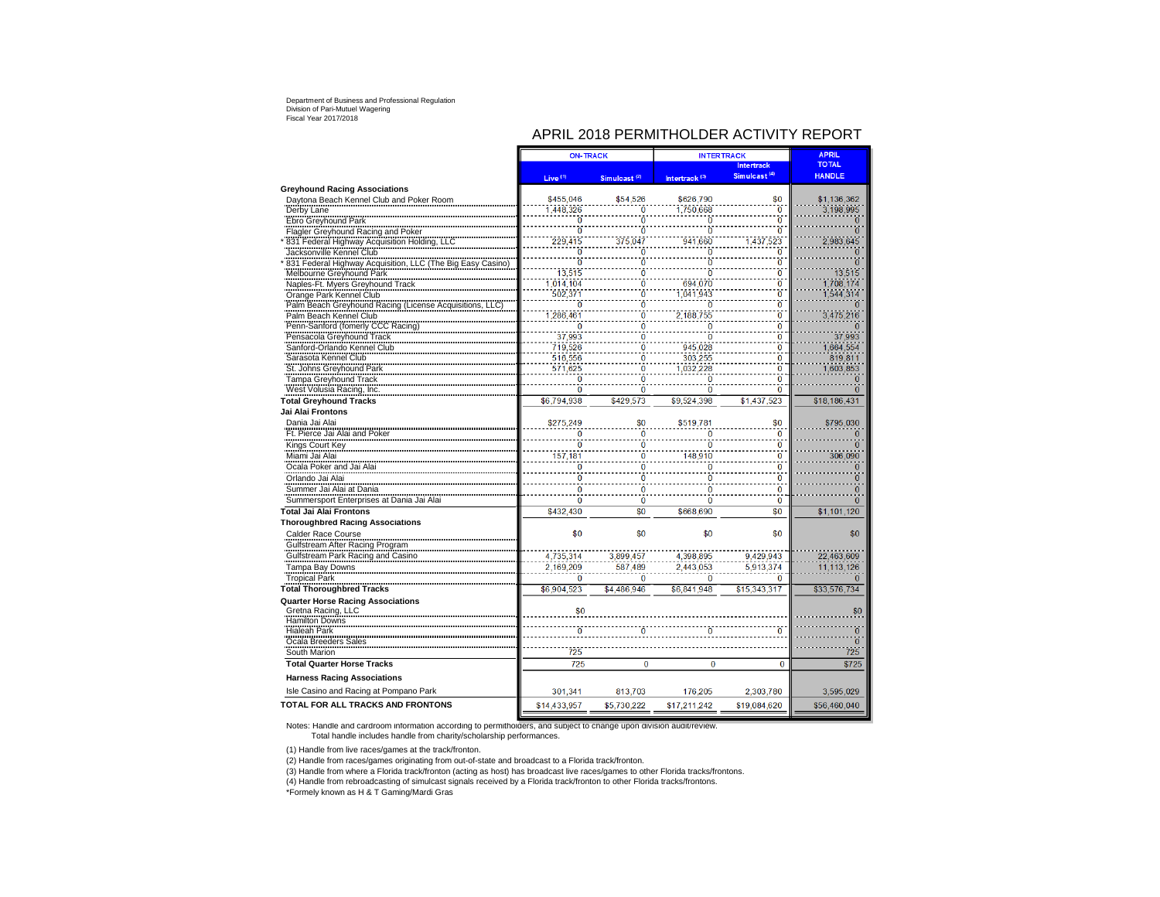# APRIL 2018 PERMITHOLDER ACTIVITY REPORT

|                                                                                                                                                                           | <b>ON-TRACK</b>     |                          | <b>INTERTRACK</b>         | <b>APRIL</b>                     |                      |
|---------------------------------------------------------------------------------------------------------------------------------------------------------------------------|---------------------|--------------------------|---------------------------|----------------------------------|----------------------|
|                                                                                                                                                                           |                     |                          |                           | <b>Intertrack</b>                | <b>TOTAL</b>         |
|                                                                                                                                                                           | Live <sup>(1)</sup> | Simulcast <sup>(2)</sup> | Intertrack <sup>(3)</sup> | Simulcast <sup>(4)</sup>         | <b>HANDLE</b>        |
| <b>Greyhound Racing Associations</b>                                                                                                                                      |                     |                          |                           |                                  |                      |
| Davtona Beach Kennel Club and Poker Room                                                                                                                                  | \$455,046           | \$54,526                 | \$626,790                 | \$0                              | \$1,136,362          |
| Derby Lane                                                                                                                                                                | 1,448,326           | Ō                        | 1.750.668                 | $\overline{0}$                   | 3.198.995            |
| Ebro Greyhound Park                                                                                                                                                       | $\overline{0}$      | Ō                        | ō                         | $\overline{0}$                   | o                    |
| <b>Flagler Greyhound Racing and Poker</b>                                                                                                                                 | $\overline{0}$      | Ō                        | $\ddot{\mathbf{0}}$       | $\overline{0}$                   | $\overline{0}$       |
|                                                                                                                                                                           | 229.415             | 375.047                  | 941.660                   | ,437,523                         | 2.983.645            |
|                                                                                                                                                                           | Ò                   | Ö                        | Ō                         | $\overline{0}$                   | $\Omega$             |
|                                                                                                                                                                           | $\overline{0}$      | Ö                        | $\ddot{\mathbf{0}}$       | $\overline{0}$                   | n                    |
| 1931 Federal Highway Acquisition Holding, LLC<br>Jacksonville Kennel Club<br>1931 Federal Highway Acquisition, LLC (The Big Easy Casino)<br>Melbourne Greyhound Park      | 13,515              | Ō                        | ō                         | $\overline{0}$                   | 13,515               |
| Naples-Ft. Myers Greyhound Track                                                                                                                                          | ,014,104            | Ö                        | 694.070                   | $\overline{0}$                   | 1.708.174            |
| Orange Park Kennel Club                                                                                                                                                   | 502.371             | Ö<br>Ö                   | 1.041.943                 | ö                                | 1.544.314            |
| Orange Park Netwiel State<br>Palm Beach Greyhound Racing (License Acquisitions, LLC)<br>Palm Beach Greyhound Racing (License Acquisitions, LLC)<br>Palm Beach Kennel Club | $\overline{0}$      |                          | $\overline{0}$            | $\overline{0}$<br>$\overline{0}$ | $\Omega$             |
|                                                                                                                                                                           | 1,286,461           | Ō<br>$\ddot{\mathbf{0}}$ | 2,188,755                 | $\overline{0}$                   | 3,475,216            |
| Penn-Sanford (fomerly CCC Racing)                                                                                                                                         | $\Omega$<br>37,993  |                          | $\Omega$<br>Ò             | $\overline{0}$                   | 37.993               |
| Pensacola Greyhound Track                                                                                                                                                 | 719,526             | $\frac{0}{0}$            | 945.028                   | $\overline{0}$                   |                      |
| Sanford-Orlando Kennel Club<br>Sarasota Kennel Club                                                                                                                       | 516,556             |                          | 303.255                   | $\bf{0}$                         | 1,664,554<br>819.811 |
| St. Johns Greyhound Park                                                                                                                                                  | 571,625             | 0<br>Ō                   | 1,032,228                 | $\overline{0}$                   | 1.603.853            |
| <b>Tampa Greyhound Track</b>                                                                                                                                              | $\mathbf{0}$        | $\ddot{\mathbf{0}}$      | $\overline{0}$            | $\bf{0}$                         | 0                    |
| West Volusia Racing, Inc.                                                                                                                                                 | $\overline{0}$      | Ō                        | $\overline{0}$            | $\overline{0}$                   | $\Omega$             |
| <b>Total Greyhound Tracks</b>                                                                                                                                             | \$6.794.938         | \$429.573                | \$9.524.398               | \$1,437,523                      | \$18.186.431         |
| Jai Alai Frontons                                                                                                                                                         |                     |                          |                           |                                  |                      |
| Dania Jai Alai                                                                                                                                                            | \$275,249           | \$0                      | \$519,781                 | \$0                              | \$795.030            |
|                                                                                                                                                                           | ö                   | ō                        | $\overline{0}$            | $\overline{0}$                   | $\Omega$             |
| Ft. Pierce Jai Alai and Poker                                                                                                                                             | $\overline{0}$      | Ō                        | ō                         | $\overline{0}$                   | o                    |
| Kings Court Key                                                                                                                                                           | 157,181             | Ō                        | 148,910                   | $\overline{0}$                   | 306.090              |
| Miami Jai Alai                                                                                                                                                            | $\bf{0}$            | $\ddot{\mathbf{0}}$      | $\overline{0}$            | $\overline{0}$                   | n                    |
| Ocala Poker and Jai Alai                                                                                                                                                  | $\ddot{\mathbf{0}}$ | ö                        | $\ddot{\mathbf{0}}$       | $\overline{0}$                   | 0                    |
| Orlando Jai Alai<br>Summer Jai Alai at Dania                                                                                                                              | $\overline{0}$      | $\ddot{\mathbf{0}}$      | $\ddot{\mathbf{0}}$       | $\overline{0}$                   |                      |
| Summer Sun Allin Bullion Communication                                                                                                                                    | $\overline{0}$      | $\overline{0}$           | $\bf{0}$                  | $\Omega$                         | 0                    |
|                                                                                                                                                                           |                     |                          |                           |                                  | 0                    |
| <b>Total Jai Alai Frontons</b>                                                                                                                                            | \$432,430           | \$0                      | \$668,690                 | \$0                              | \$1,101,120          |
| <b>Thoroughbred Racing Associations</b>                                                                                                                                   |                     |                          |                           |                                  |                      |
| Calder Race Course                                                                                                                                                        | \$0                 | \$0                      | \$0                       | \$0                              | \$0                  |
| Gulfstream After Racing Program                                                                                                                                           |                     |                          |                           |                                  |                      |
| Gulfstream Park Racing and Casino                                                                                                                                         | 4,735,314           | 3.899.457                | 4.398.895                 | 9.429.943                        | 22.463.609           |
| Tampa Bay Downs                                                                                                                                                           | 2.169.209           | 587,489                  | 2.443.053                 | 5,913,374                        | 11,113,126           |
| <b>Tropical Park</b>                                                                                                                                                      | $\bf{0}$            | 0                        | $\bf{0}$                  | $\bf{0}$                         | 0                    |
| <b>Total Thoroughbred Tracks</b>                                                                                                                                          | \$6,904,523         | \$4,486,946              | \$6.841.948               | \$15,343,317                     | \$33.576.734         |
| <b>Quarter Horse Racing Associations</b>                                                                                                                                  |                     |                          |                           |                                  |                      |
| Gretna Racing, LLC<br>Hamilton Downs                                                                                                                                      | \$0                 |                          |                           |                                  | \$0                  |
| <b>Hialeah Park</b>                                                                                                                                                       | $\ddot{\mathbf{0}}$ |                          |                           |                                  | $\overline{0}$       |
| Ocala Breeders Sales                                                                                                                                                      |                     |                          |                           |                                  | $\overline{0}$       |
| South Marion                                                                                                                                                              | 725                 |                          |                           |                                  | 725                  |
| <b>Total Quarter Horse Tracks</b>                                                                                                                                         | 725                 | 0                        | $\bf{0}$                  | 0                                | \$725                |
| <b>Harness Racing Associations</b>                                                                                                                                        |                     |                          |                           |                                  |                      |
| Isle Casino and Racing at Pompano Park                                                                                                                                    | 301.341             | 813,703                  | 176,205                   | 2.303.780                        | 3.595.029            |
| TOTAL FOR ALL TRACKS AND FRONTONS                                                                                                                                         | \$14.433.957        | \$5.730.222              | \$17,211,242              | \$19.084.620                     | \$56.460.040         |
|                                                                                                                                                                           |                     |                          |                           |                                  |                      |

Notes: Handle and cardroom information according to permitholders, and subject to change upon division audit/review. Total handle includes handle from charity/scholarship performances.

(1) Handle from live races/games at the track/fronton.

(2) Handle from races/games originating from out-of-state and broadcast to a Florida track/fronton.

(3) Handle from where a Florida track/fronton (acting as host) has broadcast live races/games to other Florida tracks/frontons.<br>(4) Handle from rebroadcasting of simulcast signals received by a Florida track/fronton to oth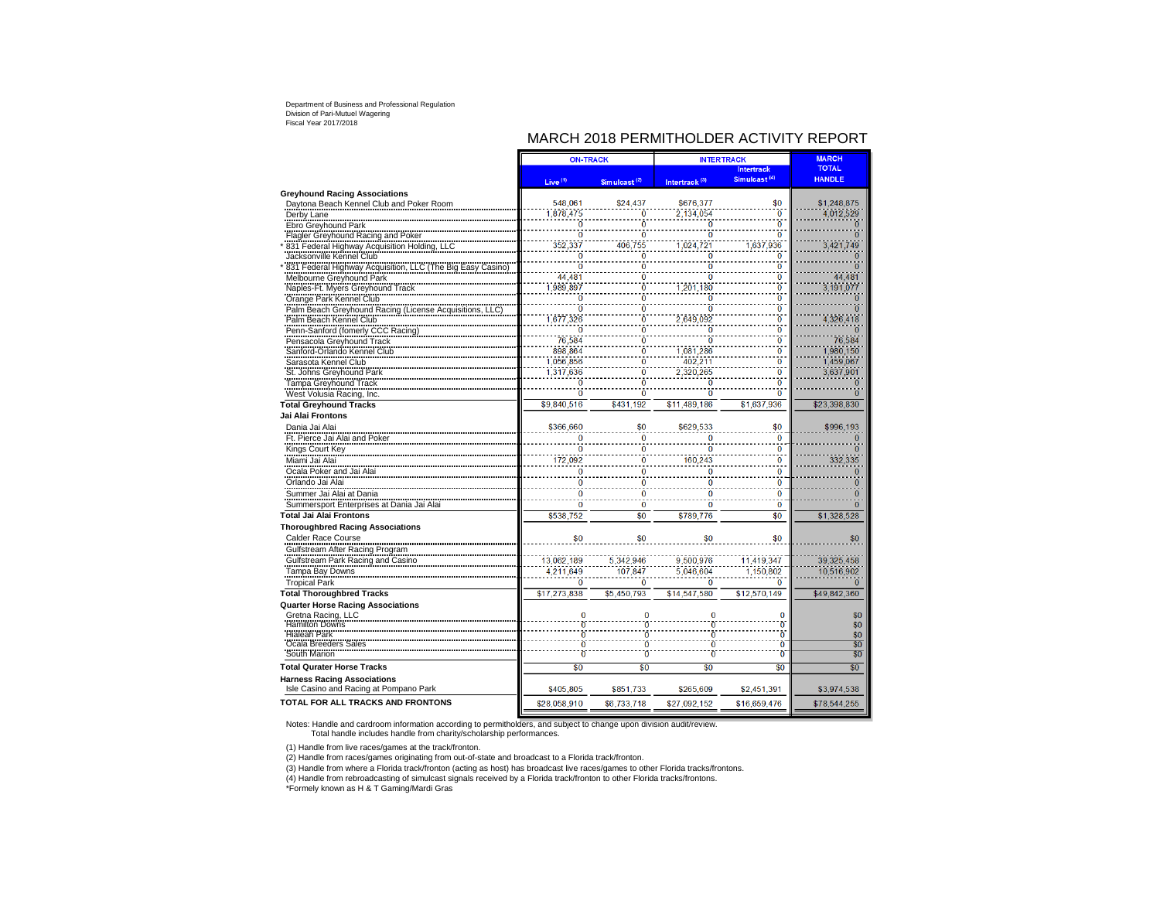# MARCH 2018 PERMITHOLDER ACTIVITY REPORT

|                                                                            | <b>ON-TRACK</b>     |                           | <b>INTERTRACK</b>         | <b>MARCH</b>             |                 |
|----------------------------------------------------------------------------|---------------------|---------------------------|---------------------------|--------------------------|-----------------|
|                                                                            |                     |                           |                           | <b>Intertrack</b>        | <b>TOTAL</b>    |
|                                                                            | Live <sup>(1)</sup> | Sim ulcast <sup>(2)</sup> | Intertrack <sup>(3)</sup> | Simulcast <sup>(4)</sup> | <b>HANDLE</b>   |
| <b>Greyhound Racing Associations</b>                                       |                     |                           |                           |                          |                 |
| Daytona Beach Kennel Club and Poker Room                                   | 548,061             | \$24,437                  | \$676,377                 | \$0                      | \$1,248,875     |
| Derby Lane                                                                 | 1.878.475           | Ō                         | 2.134.054                 | $\overline{0}$           | 4,012,529       |
| Ebro Greyhound Park                                                        | $\Omega$            | Ō                         | $\overline{0}$            | $\overline{0}$           | $\Omega$        |
| Flagler Greyhound Racing and Poker                                         | ö                   | Ō                         | $\dot{0}$                 | $\overline{0}$           | $\overline{0}$  |
| 831 Federal Highway Acquisition Holding, LLC                               | 352,337             | 406,755                   | 1,024,721                 | 1,637,936                | 3,421,749       |
| Jacksonville Kennel Club                                                   | ō                   | Ō                         | ō                         | Ō                        | Ō               |
| 1831 Federal Highway Acquisition, LLC (The Big Easy Casino)                | ō                   | Ō                         | $\overline{0}$            | ö                        | $\Omega$        |
|                                                                            | 44,481              | Ō                         | $\overline{0}$            | $\overline{0}$           | 44,481          |
| Naples-Ft. Myers Greyhound Track                                           | 1,989,897           | $\ddot{\mathbf{0}}$       | 1,201,180                 | $\overline{0}$           | 3.191.077       |
| Orange Park Kennel Club                                                    | ö                   | $\ddot{\mathbf{0}}$       | $\overline{0}$            | $\overline{0}$           | $\overline{0}$  |
| Palm Beach Greyhound Racing (License Acquisitions,                         | $\overline{0}$      | Ō                         | $\overline{0}$            | $\overline{0}$           | $\overline{0}$  |
| Palm Beach Kennel Club                                                     | 1,677,326           | Ö                         | 2,649,092                 | $\overline{0}$           | 4,326,418       |
| Penn-Sanford (fomerly CCC Racing)                                          | $\overline{0}$      | Ō                         | ō                         | $\overline{0}$           | $\overline{0}$  |
| Pensacola Greyhound Track                                                  | 76,584              | $\ddot{\mathbf{0}}$       | $\bar{0}$                 | $\overline{0}$           | 76.584          |
| Sanford-Orlando Kennel Club                                                | 898.864             | Ō                         | 1,081,286                 | $\overline{0}$           | 1.980.150       |
| Sarasota Kennel Club                                                       | 1,056,856           | $\ddot{\mathbf{0}}$       | 402,211                   | $\overline{0}$           | 1,459,067       |
| Salasola Renner Stock<br>St. Johns Greyhound Park<br>Tampa Greyhound Track | 1,317,636           | $\ddot{\mathbf{0}}$       | 2,320,265                 | $\overline{0}$           | 3,637,901       |
|                                                                            | ö                   | $\bar{\mathbf{0}}$        | $\overline{0}$            | $\overline{\mathbf{0}}$  | $\overline{0}$  |
| West Volusia Racing, Inc.                                                  | ō                   | $\ddot{0}$                | ö                         | $\overline{0}$           | ö               |
| <b>Total Greyhound Tracks</b>                                              | \$9,840,516         | \$431,192                 | \$11,489,186              | \$1,637,936              | \$23,398,830    |
| Jai Alai Frontons                                                          |                     |                           |                           |                          |                 |
| Dania Jai Alai                                                             | \$366,660           | \$0                       | \$629,533                 | \$0                      | \$996,193       |
| Ft. Pierce Jai Alai and Poker                                              | $\overline{0}$      | $\bf{0}$                  | $\Omega$                  | $\Omega$                 | $\overline{0}$  |
| Kings Court Key                                                            | $\overline{0}$      | $\ddot{\mathbf{0}}$       | $\overline{0}$            | $\overline{0}$           | $\overline{0}$  |
| Miami Jai Alai                                                             | 172,092             | $\bf{0}$                  | 160.243                   | $\overline{0}$           | 332,335         |
| Ocala Poker and Jai Alai                                                   | $\bf{0}$            | 0                         | $\bf{0}$                  | 0                        | $\mathbf{0}$    |
| Orlando Jai Alai                                                           | 0                   | $\bf{0}$                  | $\bf{0}$                  | 0                        | 0               |
| Summer Jai Alai at Dania                                                   | $\bf{0}$            | $\overline{0}$            | $\bf{0}$                  | $\bf{0}$                 | $\overline{0}$  |
| Summersport Enterprises at Dania Jai Alai                                  | $\bf{0}$            | $\overline{0}$            | $\bf{0}$                  | $\mathbf{0}$             | $\overline{0}$  |
| <b>Total Jai Alai Frontons</b>                                             | \$538.752           | \$0                       | \$789.776                 | \$0                      | \$1,328,528     |
| <b>Thoroughbred Racing Associations</b>                                    |                     |                           |                           |                          |                 |
| Calder Race Course                                                         | \$0                 | \$0                       | \$0                       | \$0                      | \$0             |
| Gulfstream After Racing Program                                            |                     |                           |                           |                          |                 |
| Gulfstream Park Racing and Casino                                          | 13.062.189          | 5.342.946                 | 9.500.976                 | 11.419.347               | 39.325.458      |
| Tampa Bay Downs                                                            | 4.211.649           | 107.847                   | 5.046.604                 | 1.150.802                | 10.516.902      |
| <b>Tropical Park</b>                                                       | ō                   | Ō                         | $\bf{0}$                  | 0                        | n               |
| <b>Total Thoroughbred Tracks</b>                                           | \$17.273.838        | \$5.450.793               | \$14,547,580              | \$12.570.149             | \$49.842.360    |
| <b>Quarter Horse Racing Associations</b>                                   |                     |                           |                           |                          |                 |
| Gretna Racing, LLC                                                         | 0                   | $\bf{0}$                  | $\Omega$                  | $\Omega$                 | \$0             |
| Hamilton Downs                                                             | $\overline{0}$      | $\overline{0}$            | $\overline{0}$            | $\overline{0}$           | \$0             |
| Hialeah Park                                                               | $\overline{0}$      | Ō                         | Ò                         | Ò                        | \$0             |
| Deala Breeders Sales                                                       | $\bar{0}$           | Ō                         | Ō                         | Ō                        | $\overline{50}$ |
| South Marion                                                               | $\overline{0}$      | $\mathbf 0$               | $\overline{0}$            | $\mathbf{0}$             | \$0             |
| <b>Total Qurater Horse Tracks</b>                                          | \$0                 | \$0                       | \$0                       | \$0                      | \$0             |
| <b>Harness Racing Associations</b>                                         |                     |                           |                           |                          |                 |
| Isle Casino and Racing at Pompano Park                                     | \$405,805           | \$851,733                 | \$265,609                 | \$2,451,391              | \$3,974,538     |
|                                                                            |                     |                           |                           |                          |                 |
| <b>TOTAL FOR ALL TRACKS AND FRONTONS</b>                                   | \$28.058.910        | \$6,733,718               | \$27,092,152              | \$16.659.476             | \$78.544.255    |

Notes: Handle and cardroom information according to permitholders, and subject to change upon division audit/review. Total handle includes handle from charity/scholarship performances.

(1) Handle from live races/games at the track/fronton.

(2) Handle from races/games originating from out-of-state and broadcast to a Florida track/fronton.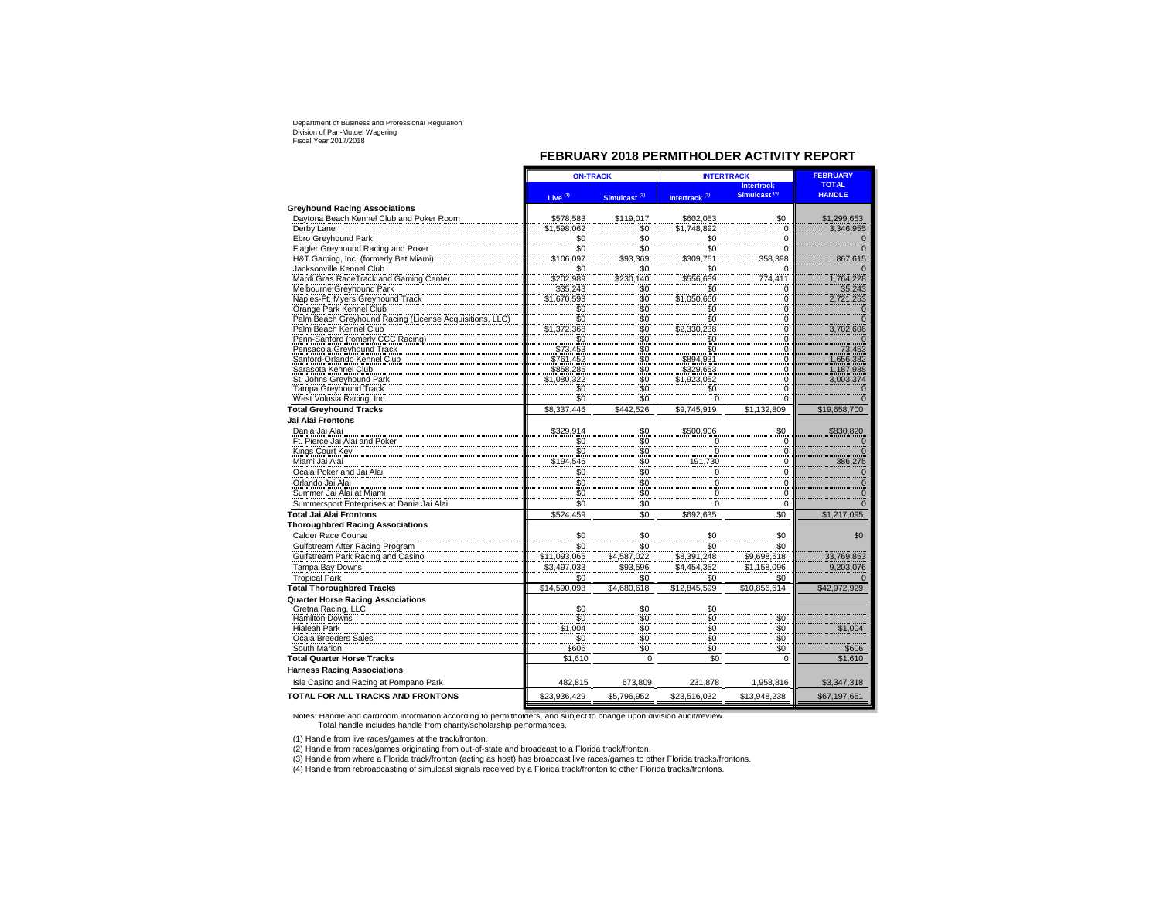## **FEBRUARY 2018 PERMITHOLDER ACTIVITY REPORT**

|                                                                              | <b>ON-TRACK</b>                 |                              | <b>INTERTRACK</b>         | <b>FEBRUARY</b>          |                       |
|------------------------------------------------------------------------------|---------------------------------|------------------------------|---------------------------|--------------------------|-----------------------|
|                                                                              |                                 |                              |                           | <b>Intertrack</b>        | <b>TOTAL</b>          |
|                                                                              | Live <sup>(1)</sup>             | Simulcast <sup>(2)</sup>     | Intertrack <sup>(3)</sup> | Simulcast <sup>(4)</sup> | <b>HANDLE</b>         |
| <b>Greyhound Racing Associations</b>                                         |                                 |                              |                           |                          |                       |
| Davtona Beach Kennel Club and Poker Room                                     | \$578,583                       | \$119.017                    | \$602,053                 | \$0                      | \$1,299,653           |
| Derby Lane                                                                   | \$1,598,062                     | \$0                          | \$1,748,892               | $\mathbf 0$              | 3,346,955             |
| Ebro Greyhound Park                                                          | \$0<br>\$0                      | $\frac{1}{20}$               | $\frac{$0}{$0}$           | $\Omega$                 |                       |
| Flagler Greyhound Racing and Poker                                           |                                 |                              |                           | 0                        | $\mathbf 0$           |
| H&T Gaming, Inc. (formerly Bet Miami)                                        | \$106,097                       | \$93,369                     | \$309,751                 | 358,398                  | 867,615               |
| Jacksonville Kennel Club                                                     | \$0                             | \$0                          | \$0                       | $\Omega$                 |                       |
| Mardi Gras RaceTrack and Gaming Center                                       | \$202,989                       | \$230,140                    | \$556,689                 | 774,411                  | 1,764,228             |
| Melbourne Greyhound Park                                                     | \$35,243                        | \$0<br>\$0                   | \$0                       | $\Omega$                 | 35,243                |
| Naples-Ft. Myers Greyhound Track                                             | \$1,670,593                     |                              | \$1,050,660               | 0                        | 2,721,253             |
| Orange Park Kennel Club<br>Palm Beach Greyhound Racing (License Acquisitions | \$0                             |                              | \$0                       | 0                        | 0                     |
| Palm Beach Kennel Club                                                       | $\overline{\$0}$<br>\$1,372,368 | $$0$<br>$$0$<br>$$0$<br>$$0$ | \$0<br>\$2,330,238        | 0<br>0                   | $\Omega$<br>3,702,606 |
| Penn-Sanford (fomerly CCC Racing)                                            |                                 | $\ddot{\$0}$                 | \$0                       | 0                        | $\Omega$              |
| Pensacola Greyhound Track                                                    | $$0$ \$73,453                   | $\ddot{\$0}$                 | $\overline{\$0}$          | 0                        | 73,453                |
| Sanford-Orlando Kennel Club                                                  | \$761,452                       | \$0                          | \$894,931                 | 0                        | 1,656,382             |
| Sarasota Kennel Club                                                         | \$858,285                       | \$0                          | \$329,653                 | 0                        | 1,187,938             |
| St. Johns Greyhound Park                                                     | \$1,080,322                     | \$0                          | \$1,923,052               | 0                        | 3,003,374             |
| Tampa Greyhound Track                                                        | $\frac{$0}{2}$                  | $\overline{50}$              | \$0                       | $\Omega$                 | O                     |
| West Volusia Racing, Inc.                                                    | \$0                             |                              | $\Omega$                  | 0                        |                       |
| <b>Total Greyhound Tracks</b>                                                | \$8,337,446                     | \$442.526                    | \$9,745,919               | \$1.132.809              | \$19,658,700          |
| Jai Alai Frontons                                                            |                                 |                              |                           |                          |                       |
| Dania Jai Alai                                                               | \$329,914                       | \$0                          | \$500,906                 | \$0                      | \$830,820             |
| Ft. Pierce Jai Alai and Poker                                                | \$0                             | \$0                          | 0                         | $\mathbf 0$              |                       |
| Kings Court Key                                                              | \$0                             |                              | $\overline{\phantom{0}}$  | $\Omega$                 | $\Omega$              |
| Miami Jai Alai                                                               | \$194,546                       | $\frac{1}{20}$               | 191,730                   | $\overline{0}$           | 386,275               |
| Ocala Poker and Jai Alai                                                     | \$0                             | \$0                          | $\mathbf 0$               | 0                        | $\mathbf{0}$          |
| Orlando Jai Alai                                                             | \$0                             | \$0                          | $\mathbf 0$               | $\mathbf 0$              | $\Omega$              |
| Summer Jai Alai at Miami                                                     | \$0                             | \$0                          | $\mathbf 0$               | 0                        | $\mathbf{0}$          |
| Summersport Enterprises at Dania Jai Alai                                    | \$0                             | \$0                          | $\mathbf 0$               | 0                        | $\Omega$              |
| <b>Total Jai Alai Frontons</b>                                               | \$524.459                       | \$0                          | \$692.635                 | \$0                      | \$1.217.095           |
| <b>Thoroughbred Racing Associations</b>                                      |                                 |                              |                           |                          |                       |
| Calder Race Course                                                           | \$0                             | \$0                          | \$0                       | \$0                      | \$0                   |
| Gulfstream After Racing Program                                              | \$0                             | \$0                          | \$0                       | \$0                      |                       |
| Gulfstream Park Racing and Casino                                            | \$11,093,065                    | \$4,587,022                  | \$8,391,248               | \$9,698,518              | 33,769,853            |
| Tampa Bay Downs                                                              | \$3,497,033                     | \$93,596                     | \$4,454,352               | \$1,158,096              | 9,203,076             |
| <b>Tropical Park</b>                                                         | \$0                             | \$0                          | \$0                       | \$0                      |                       |
| <b>Total Thoroughbred Tracks</b>                                             | \$14.590.098                    | \$4.680.618                  | \$12,845,599              | \$10.856.614             | \$42,972,929          |
| <b>Quarter Horse Racing Associations</b>                                     |                                 |                              |                           |                          |                       |
| Gretna Racing, LLC                                                           | \$0                             | \$0                          | \$0                       |                          |                       |
| <b>Hamilton Downs</b>                                                        | $\ddot{s}$                      | $\ddot{\textbf{\$0}}$        |                           | \$0                      |                       |
| <b>Hialeah Park</b>                                                          | \$1,004                         | $\frac{90}{90}$              | $\frac{50}{50}$           |                          | \$1,004               |
| Ocala Breeders Sales                                                         | \$0                             |                              | $\frac{80}{20}$           | $\frac{60}{90}$          |                       |
| South Marion                                                                 | \$606                           | $\frac{60}{90}$              |                           | $\ddot{\textbf{\$0}}$    | \$606                 |
| <b>Total Quarter Horse Tracks</b>                                            | \$1,610                         | $\Omega$                     | \$0                       | $\Omega$                 | \$1,610               |
| <b>Harness Racing Associations</b>                                           |                                 |                              |                           |                          |                       |
| Isle Casino and Racing at Pompano Park                                       | 482,815                         | 673,809                      | 231,878                   | 1,958,816                | \$3,347,318           |
| TOTAL FOR ALL TRACKS AND FRONTONS                                            | \$23,936,429                    | \$5,796,952                  | \$23,516,032              | \$13,948,238             | \$67,197,651          |
|                                                                              |                                 |                              |                           |                          |                       |

Notes: Handle and cardroom information according to permitholders, and subject to change upon division audit/review. Total handle includes handle from charity/scholarship performances.

(1) Handle from live races/games at the track/fronton. (2) Handle from races/games originating from out-of-state and broadcast to a Florida track/fronton.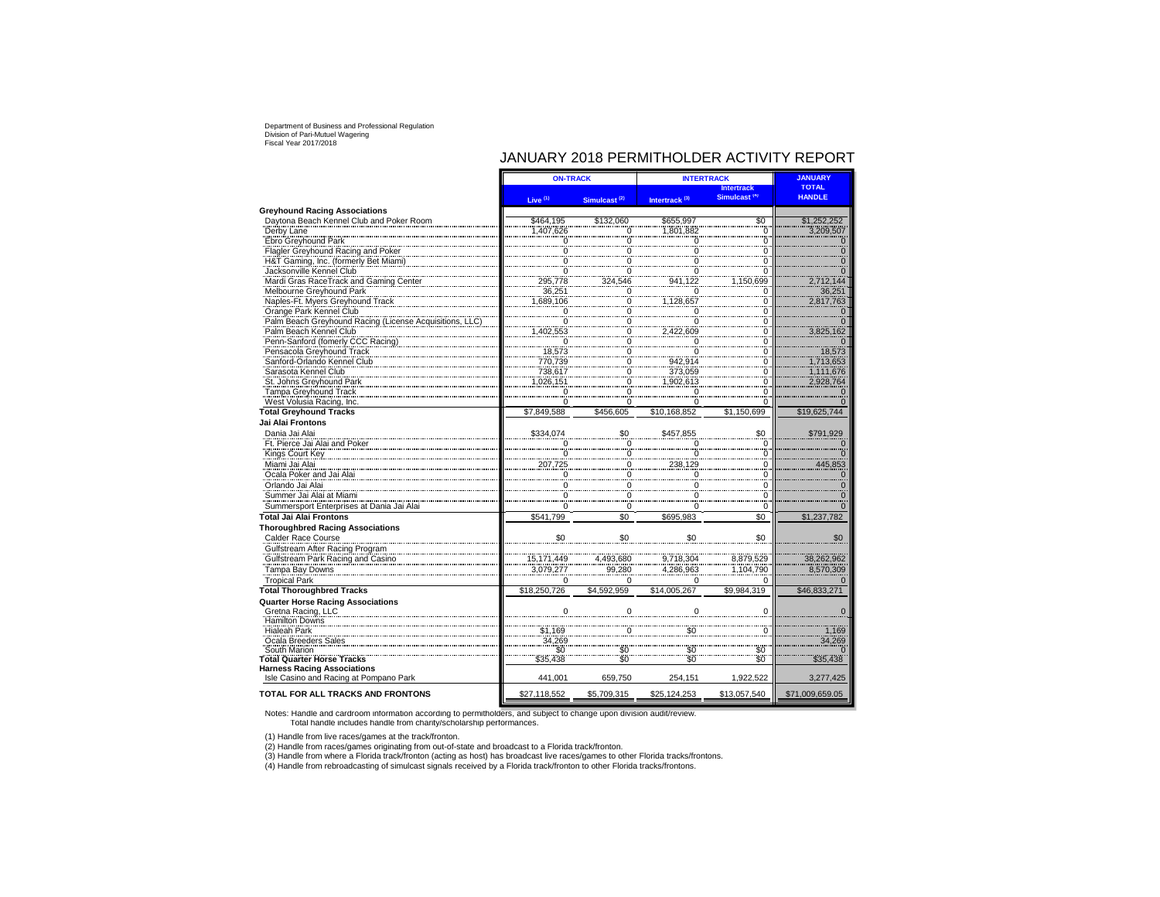## JANUARY 2018 PERMITHOLDER ACTIVITY REPORT

|                                                   | <b>ON-TRACK</b>         |                          | <b>INTERTRACK</b>         | <b>JANUARY</b>                                |                 |
|---------------------------------------------------|-------------------------|--------------------------|---------------------------|-----------------------------------------------|-----------------|
|                                                   |                         |                          |                           | <b>Intertrack</b><br>Simulcast <sup>(9)</sup> | <b>TOTAL</b>    |
|                                                   | Live $(1)$              | Simulcast <sup>(2)</sup> | Intertrack <sup>(3)</sup> |                                               | <b>HANDLE</b>   |
| <b>Greyhound Racing Associations</b>              |                         |                          |                           |                                               |                 |
| Davtona Beach Kennel Club and Poker Room          | \$464,195               | \$132,060                | \$655,997                 | \$0                                           | \$1,252,252     |
| Derby Lane                                        | 1,407,626               | 0                        | 1.801.882                 | 0                                             | 3,209,507       |
| Ebro Greyhound Park                               | 0                       | 0                        |                           | 0                                             |                 |
| Flagler Greyhound Racing and Poker                | 0                       | 0                        | $\Omega$                  | 0                                             | $\Omega$        |
| H&T Gaming, Inc. (formerly Bet Miami)             | $\Omega$                | 0                        | $\Omega$                  | 0                                             | n               |
| Jacksonville Kennel Club                          | $\Omega$                | $\mathbf 0$              | $\Omega$                  | 0                                             |                 |
| Mardi Gras RaceTrack and Gaming Center            | 295,778                 | 324.546                  | 941.122                   | .150.699                                      | 2,712,144       |
| Melbourne Greyhound Park                          | 36,251                  | $\overline{\mathbf{0}}$  | 0                         | 0                                             | 36,251          |
| Naples-Ft. Myers Greyhound Track                  | 1,689,106               | 0                        | 1.128.657                 | 0                                             | 2,817,763       |
| Orange Park Kennel Club                           | 0                       | 0                        | 0                         | 0                                             | <sup>0</sup>    |
| Palm Beach Greyhound Racing (License Acquisitions | $\boldsymbol{0}$        | $\boldsymbol{0}$         | $\overline{0}$            | 0                                             |                 |
| Palm Beach Kennel Club                            | 1,402,553               | 0                        | 2,422,609                 | 0                                             | 3,825,162       |
| Penn-Sanford (fomerly CCC Racing)                 | $\sim$ 0                | 0                        | $\Omega$                  | 0<br>ö                                        |                 |
| Pensacola Greyhound Track                         | 18,573                  | 0                        | $\overline{0}$            |                                               | 18,573          |
| Sanford-Orlando Kennel Club                       | 770.739                 | 0                        | 942.914                   | 0                                             | 1.713.653       |
| Sarasota Kennel Club                              | 738,617<br>1,026,151    | 0                        | 373,059                   | 0                                             | 1.111.676       |
| St. Johns Greyhound Park                          |                         | 0                        | 1,902,613                 | 0<br>0                                        | 2,928,764       |
| Tampa Greyhound Track                             | 0                       | 0<br>$\Omega$            | 0<br>$\Omega$             |                                               |                 |
| West Volusia Racing, Inc.                         | $\Omega$<br>\$7.849.588 | \$456.605                | \$10.168.852              | 0<br>\$1.150.699                              |                 |
| <b>Total Greyhound Tracks</b>                     |                         |                          |                           |                                               | \$19,625,744    |
| Jai Alai Frontons                                 |                         |                          |                           |                                               |                 |
| Dania Jai Alai                                    | \$334.074               | \$0                      | \$457.855                 | \$0                                           | \$791.929       |
| Ft. Pierce Jai Alai and Poker                     |                         | $\Omega$                 |                           | $\Omega$                                      |                 |
| Kings Court Key                                   | $\overline{0}$          | $\frac{0}{2}$            | $\overline{0}$            | Ö                                             |                 |
| Miami Jai Alai                                    | 207,725                 | $\overline{0}$           | 238,129                   | $\overline{0}$                                | 445,853         |
| Ocala Poker and Jai Alai                          | $\mathbf 0$             | $\overline{0}$           | 0                         | 0                                             |                 |
| Orlando Jai Alai                                  | 0                       | $\overline{0}$           | 0                         | $\mathbf 0$                                   |                 |
| Summer Jai Alai at Miami                          | 0                       | $\mathbf 0$              | $\Omega$                  | 0                                             |                 |
| Summersport Enterprises at Dania Jai Alai         | $\Omega$                | $\mathbf 0$              | $\Omega$                  | $\mathbf 0$                                   |                 |
| <b>Total Jai Alai Frontons</b>                    | \$541.799               | \$0                      | \$695,983                 | \$0                                           | \$1,237,782     |
| <b>Thoroughbred Racing Associations</b>           |                         |                          |                           |                                               |                 |
| Calder Race Course                                | \$0                     | \$0                      | \$0                       | \$0                                           | \$0             |
| Gulfstream After Racing Program                   |                         |                          |                           |                                               |                 |
| Gulfstream Park Racing and Casino                 | 15, 171, 449            | 4,493,680                | 9,718,304                 | 8,879,529                                     | 38,262,962      |
| Tampa Bay Downs                                   | 3,079,277               | 99,280                   | 4,286,963                 | 1,104,790                                     | 8,570,309       |
| <b>Tropical Park</b>                              | $\Omega$                | $\Omega$                 | $\Omega$                  | $\Omega$                                      |                 |
| <b>Total Thoroughbred Tracks</b>                  | \$18,250,726            | \$4,592,959              | \$14,005,267              | \$9,984,319                                   | \$46,833,271    |
| <b>Quarter Horse Racing Associations</b>          |                         |                          |                           |                                               |                 |
| Gretna Racing, LLC                                | $\Omega$                | $\Omega$                 | $\Omega$                  | $\Omega$                                      |                 |
| <b>Hamilton Downs</b>                             |                         |                          |                           |                                               |                 |
| <b>Hialeah Park</b>                               | \$1,169                 | 0                        | \$0                       | 0                                             | 1.169           |
| Ocala Breeders Sales                              | 34,269                  |                          |                           |                                               | 34,269          |
| South Marion                                      | \$Ö                     | \$0                      | \$0                       | \$0                                           |                 |
| <b>Total Quarter Horse Tracks</b>                 | \$35.438                | $\ddot{s}$ <sup>0</sup>  | .<br>SO                   | $\ddot{s}$ <sup>0</sup>                       | \$35,438        |
| <b>Harness Racing Associations</b>                |                         |                          |                           |                                               |                 |
| Isle Casino and Racing at Pompano Park            | 441,001                 | 659,750                  | 254,151                   | 1,922,522                                     | 3,277,425       |
| <b>TOTAL FOR ALL TRACKS AND FRONTONS</b>          | \$27,118,552            | \$5,709,315              | \$25,124,253              | \$13,057,540                                  | \$71,009,659.05 |
|                                                   |                         |                          |                           |                                               |                 |

Notes: Handle and cardroom information according to permitholders, and subject to change upon division audit/review. Total handle includes handle from charity/scholarship performances.

(1) Handle from live races/games at the track/fronton. (2) Handle from races/games originating from out-of-state and broadcast to a Florida track/fronton.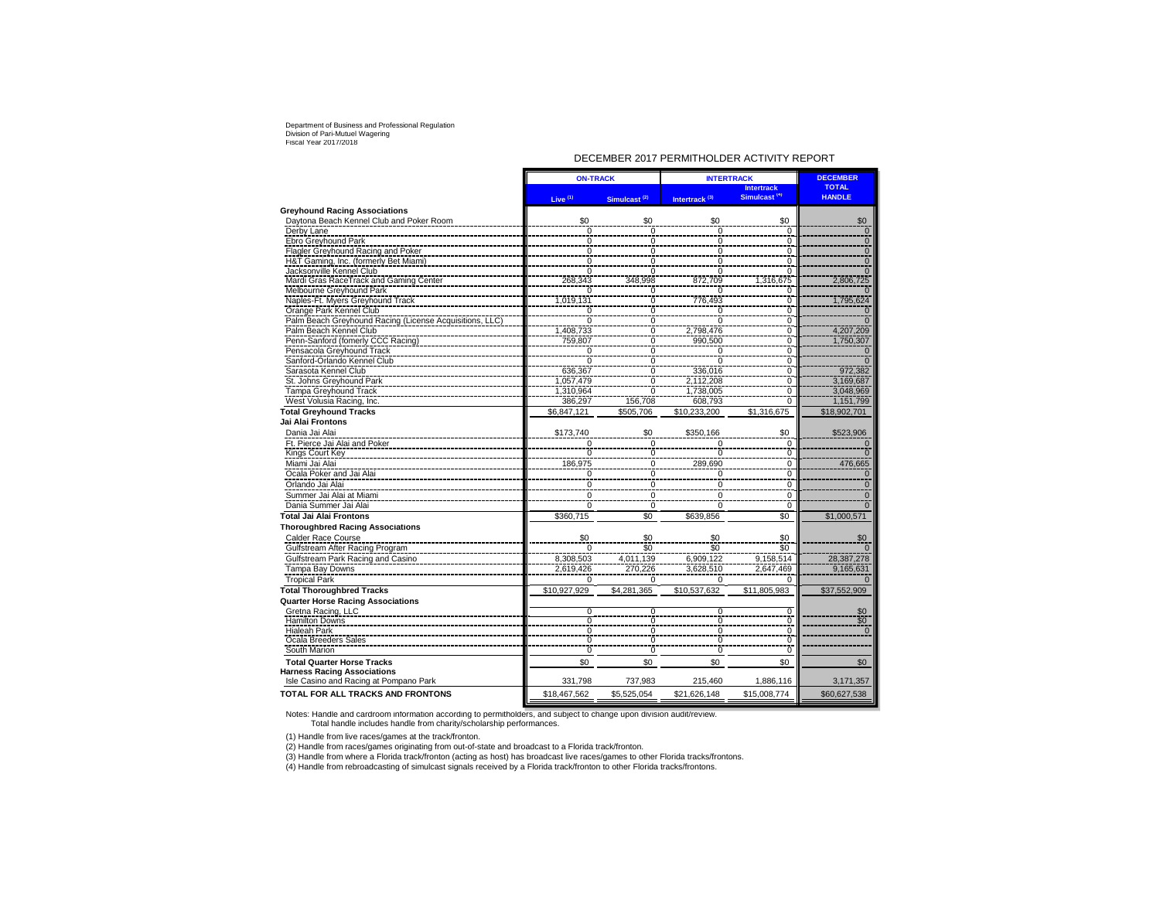#### DECEMBER 2017 PERMITHOLDER ACTIVITY REPORT

|                                                         | <b>ON-TRACK</b>     |                          | <b>INTERTRACK</b>         | <b>DECEMBER</b>                               |                               |
|---------------------------------------------------------|---------------------|--------------------------|---------------------------|-----------------------------------------------|-------------------------------|
|                                                         | Live <sup>(1)</sup> | Simulcast <sup>(2)</sup> | Intertrack <sup>(3)</sup> | <b>Intertrack</b><br>Simulcast <sup>(4)</sup> | <b>TOTAL</b><br><b>HANDLE</b> |
| <b>Greyhound Racing Associations</b>                    |                     |                          |                           |                                               |                               |
| Daytona Beach Kennel Club and Poker Room                | \$0                 | \$0                      | \$0                       | \$0                                           | \$0                           |
| Derby Lane                                              | $\overline{0}$      | $\overline{0}$           | $\overline{0}$            | $\Omega$                                      | $\overline{0}$                |
| Ebro Greyhound Park                                     | $\mathbf 0$         | 0                        | ō                         | $\mathbf 0$                                   | $\overline{0}$                |
| Flagler Greyhound Racing and Poker                      | $\overline{0}$      | $\overline{0}$           | ō                         | $\overline{0}$                                | $\overline{0}$                |
| H&T Gaming, Inc. (formerly Bet Miami)                   | $\overline{0}$      | ō                        | $\overline{0}$            | $\mathbf 0$                                   | $\overline{0}$                |
| Jacksonville Kennel Club                                | $\overline{0}$      | $\overline{0}$           | $\Omega$                  | $\overline{0}$                                | $\overline{0}$                |
| Mardi Gras RaceTrack and Gaming Center                  | 268.343             | 348,998                  | 872.709                   | 1,316,675                                     | 2.806.725                     |
| Melbourne Greyhound Park                                |                     | 0                        | 0                         | 0                                             |                               |
| Naples-Ft. Myers Greyhound Track                        | 1,019,131           | $\overline{0}$           | 776,493                   | $\overline{0}$                                | 1,795,624                     |
| Orange Park Kennel Club                                 | $\mathbf 0$         | 0                        | 0                         | 0                                             |                               |
| Palm Beach Greyhound Racing (License Acquisitions, LLC) | $\overline{0}$      | $\overline{0}$           | $\Omega$                  | $\mathbf 0$                                   |                               |
| Palm Beach Kennel Club                                  | 1.408.733           | ō                        | 2.798.476                 | 0                                             | 4.207.209                     |
| Penn-Sanford (fomerly CCC Racing)                       | 759,807             | ō                        | 990,500                   | 0                                             | 1,750,307                     |
| Pensacola Greyhound Track                               | $\Omega$            | $\overline{0}$           | $\overline{0}$            | $\overline{0}$                                |                               |
| Sanford-Orlando Kennel Club                             | $\overline{0}$      | ō                        | $\overline{0}$            | $\overline{0}$                                |                               |
| Sarasota Kennel Club                                    | 636,367             | $\overline{0}$           | 336.016                   | $\overline{0}$                                | 972,382                       |
| St. Johns Greyhound Park                                | 1,057,479           | ō                        | 2,112,208                 | $\overline{0}$                                | 3,169,687                     |
| <b>Tampa Greyhound Track</b>                            | 1,310,964           | ō                        | 1,738,005                 | $\overline{0}$                                | 3,048,969                     |
| West Volusia Racing, Inc.                               | 386,297             | 156,708                  | 608,793                   | $\Omega$                                      | 1,151,799                     |
| <b>Total Greyhound Tracks</b>                           | \$6,847,121         | \$505,706                | \$10,233,200              | \$1,316,675                                   | \$18,902,701                  |
| Jai Alai Frontons                                       |                     |                          |                           |                                               |                               |
| Dania Jai Alai                                          | \$173,740           | \$0                      | \$350,166                 | \$0                                           | \$523,906                     |
| Ft. Pierce Jai Alai and Poker                           | $\Omega$            | $\Omega$                 | $\Omega$                  | $\Omega$                                      | $\Omega$                      |
| <b>Kings Court Key</b>                                  |                     | ō                        | ō                         | $\overline{0}$                                |                               |
| Miami Jai Alai                                          | 186,975             | 0                        | 289,690                   | $\mathbf 0$                                   | 476,665                       |
| Ocala Poker and Jai Alai                                | $\mathbf 0$         | $\pmb{0}$                | 0                         | $\mathbf 0$                                   | $\Omega$                      |
| Orlando Jai Alai                                        | $\Omega$            | $\mathbf 0$              | 0                         | $\mathbf 0$                                   | $\Omega$                      |
| Summer Jai Alai at Miami                                | $\mathbf 0$         | $\mathbf 0$              | 0                         | $\mathbf 0$                                   | $\mathbf 0$                   |
| Dania Summer Jai Alai                                   | $\Omega$            | $\mathbf 0$              | 0                         | $\mathbf 0$                                   |                               |
| <b>Total Jai Alai Frontons</b>                          | \$360.715           | \$0                      | \$639,856                 | \$0                                           | \$1,000.571                   |
| <b>Thoroughbred Racing Associations</b>                 |                     |                          |                           |                                               |                               |
| Calder Race Course                                      | \$0                 | \$0                      | \$0                       | \$0                                           | \$0                           |
| Gulfstream After Racing Program                         | $\Omega$            | \$0                      | \$0                       | \$0                                           |                               |
| Gulfstream Park Racing and Casino                       | 8,308,503           | 4,011,139                | 6.909.122                 | 9,158,514                                     | 28,387,278                    |
| Tampa Bay Downs                                         | 2,619,426           | 270,226                  | 3,628,510                 | 2,647,469                                     | 9,165,631                     |
| <b>Tropical Park</b>                                    | $\Omega$            | $\Omega$                 | 0                         | $\Omega$                                      |                               |
| <b>Total Thoroughbred Tracks</b>                        | \$10,927,929        | \$4,281,365              | \$10,537,632              | \$11,805,983                                  | \$37,552,909                  |
| <b>Quarter Horse Racing Associations</b>                |                     |                          |                           |                                               |                               |
| Gretna Racing, LLC                                      | $\overline{0}$      | 0                        | 0                         | $\overline{0}$                                | \$0                           |
| <b>Hamilton Downs</b>                                   | $\overline{0}$      | ō                        | Ō                         | $\overline{0}$                                | $\overline{\$0}$              |
| <b>Hialeah Park</b>                                     | $\overline{0}$      | ō                        | Ō                         | $\Omega$                                      | $\Omega$                      |
| Ocala Breeders Sales                                    | $\overline{0}$      | $\overline{0}$           | 0                         | $\mathbf 0$                                   |                               |
| South Marion                                            | $\Omega$            | $\overline{0}$           | Ō                         | $\overline{0}$                                |                               |
| <b>Total Quarter Horse Tracks</b>                       | \$0                 | \$0                      | \$0                       | \$0                                           | \$0                           |
| <b>Harness Racing Associations</b>                      |                     |                          |                           |                                               |                               |
| Isle Casino and Racing at Pompano Park                  | 331,798             | 737,983                  | 215,460                   | 1,886,116                                     | 3,171,357                     |
| <b>TOTAL FOR ALL TRACKS AND FRONTONS</b>                | \$18,467,562        | \$5,525,054              | \$21,626,148              | \$15,008,774                                  | \$60,627,538                  |

Notes: Handle and cardroom information according to permitholders, and subject to change upon division audit/review. Total handle includes handle from charity/scholarship performances.

(1) Handle from live races/games at the track/fronton.

(2) Handle from races/games originating from out-of-state and broadcast to a Florida track/fronton.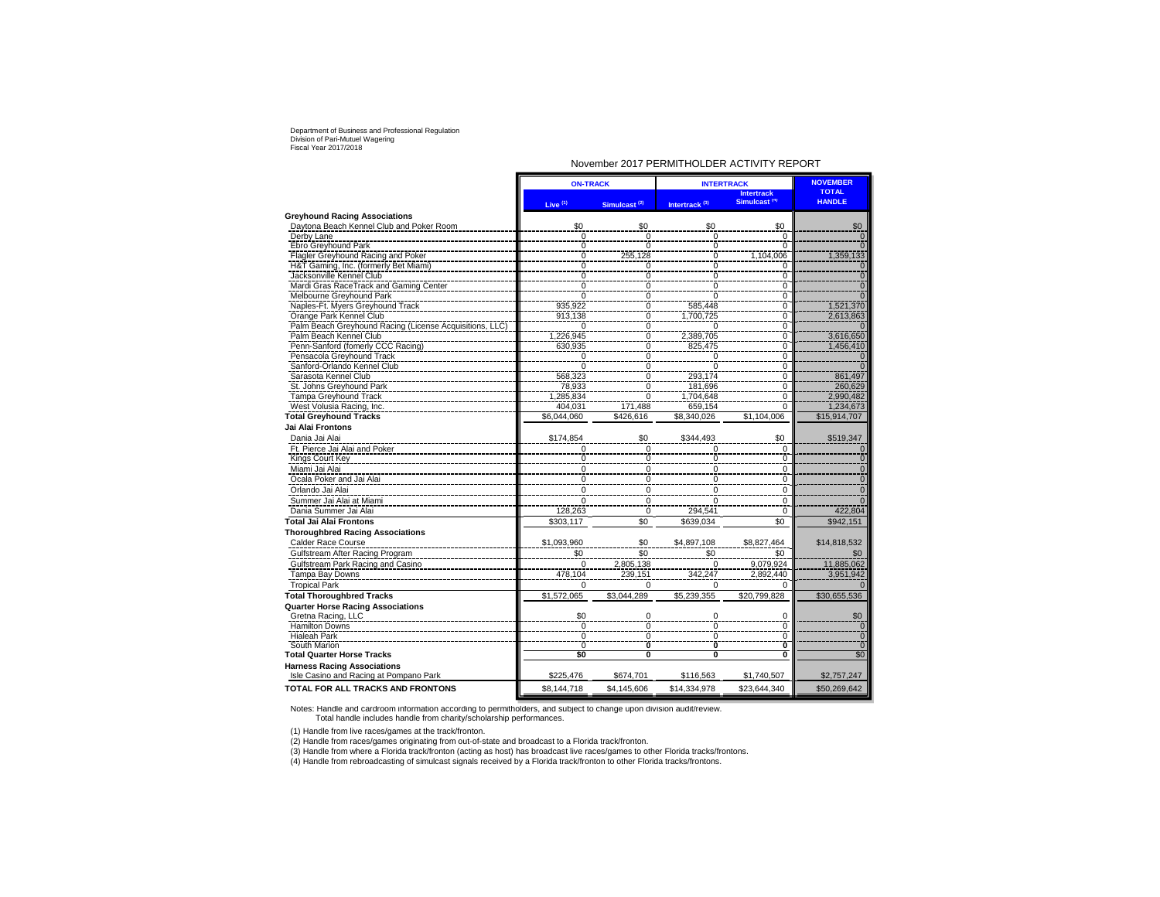#### November 2017 PERMITHOLDER ACTIVITY REPORT

|                                                                              | <b>ON-TRACK</b> |                          | <b>INTERTRACK</b>         | <b>NOVEMBER</b>                               |                               |
|------------------------------------------------------------------------------|-----------------|--------------------------|---------------------------|-----------------------------------------------|-------------------------------|
|                                                                              | Live $(1)$      | Simulcast <sup>(2)</sup> | Intertrack <sup>(3)</sup> | <b>Intertrack</b><br>Simulcast <sup>(4)</sup> | <b>TOTAL</b><br><b>HANDLE</b> |
| <b>Greyhound Racing Associations</b>                                         |                 |                          |                           |                                               |                               |
| Daytona Beach Kennel Club and Poker Room                                     | \$0             | \$0                      | \$0                       | \$0                                           | \$0                           |
| Derby Lane                                                                   | 0               | 0                        | 0                         | $\mathbf 0$                                   | $\Omega$                      |
| Ebro Greyhound Park                                                          | 0               | $\Omega$                 | $\mathbf 0$               | $\Omega$                                      |                               |
| Flagler Greyhound Racing and Poker                                           | $\mathbf 0$     | 255,128                  | $\mathbf 0$               | 1,104,006                                     | 1,359,133                     |
| H&T Gaming, Inc. (formerly Bet Miami)                                        | 0               | 0                        | $\overline{0}$            | 0                                             | 0                             |
| Jacksonville Kennel Club                                                     | ō               | $\overline{0}$           | $\mathbf 0$               | $\overline{0}$                                | $\overline{0}$                |
| Mardi Gras RaceTrack and Gaming Center                                       | $\overline{0}$  | $\frac{0}{0}$            | $\Omega$                  | 0                                             | $\overline{0}$                |
| Melbourne Greyhound Park                                                     | $\Omega$        |                          | $\Omega$                  | $\Omega$                                      |                               |
| Naples-Ft. Myers Greyhound Track                                             | 935,922         | $\frac{0}{0}$            | 585,448                   | $\overline{0}$                                | 1,521,370                     |
| Orange Park Kennel Club                                                      | 913,138         |                          | 1,700,725                 | $\overline{0}$                                | 2,613,863                     |
| Palm Beach Greyhound Racing (License Acquisitions, LLC)                      | $\Omega$        | 0                        |                           | 0                                             |                               |
| Palm Beach Kennel Club                                                       | 1,226,945       | ō                        | 2,389,705                 | $\mathbf 0$                                   | 3,616,650                     |
| Penn-Sanford (fomerly CCC Racing)                                            | 630,935         | ō                        | 825,475                   | $\overline{0}$                                | 1,456,410                     |
| Pensacola Greyhound Track                                                    | 0               | $\frac{0}{0}$            | 0                         | $\mathbf 0$                                   | $\mathbf{0}$                  |
| Sanford-Orlando Kennel Club                                                  | $\Omega$        |                          | $\overline{0}$            | $\overline{0}$                                |                               |
| Sarasota Kennel Club                                                         | 568,323         | ō                        | 293,174                   | $\overline{0}$                                | 861,497                       |
| St. Johns Greyhound Park                                                     | 78,933          | $\overline{0}$           | 181,696                   | $\overline{0}$                                | 260,629                       |
| <b>Tampa Greyhound Track</b>                                                 | 1,285,834       | $\overline{0}$           | 1,704,648                 | $\overline{0}$                                | 2,990,482                     |
| West Volusia Racing, Inc.                                                    | 404.031         | 171,488                  | 659,154                   | $\mathbf 0$                                   | 1,234,673                     |
| <b>Total Greyhound Tracks</b>                                                | \$6,044,060     | \$426,616                | \$8.340.026               | \$1,104,006                                   | \$15,914,707                  |
| Jai Alai Frontons                                                            |                 |                          |                           |                                               |                               |
| Dania Jai Alai                                                               | \$174,854       | \$0                      | \$344,493                 | \$0                                           | \$519,347                     |
| Ft. Pierce Jai Alai and Poker                                                | 0               | 0                        | 0                         | $\mathbf 0$                                   |                               |
| Kings Court Key                                                              | 0               | 0                        | 0                         | 0                                             | $\Omega$                      |
| Miami Jai Alai                                                               | 0               | 0                        | $\mathbf 0$               | 0                                             | $\Omega$                      |
| Ocala Poker and Jai Alai                                                     | 0               | 0                        | $\mathbf 0$               | 0                                             | $\overline{0}$                |
| Orlando Jai Alai                                                             | 0               | 0                        | $\mathbf 0$               | 0                                             | $\Omega$                      |
| Summer Jai Alai at Miami                                                     | $\Omega$        | 0                        | $\Omega$                  | $\mathbf 0$                                   |                               |
| Dania Summer Jai Alai                                                        | 128,263         | 0                        | 294,541                   | $\mathbf 0$                                   | 422,804                       |
| <b>Total Jai Alai Frontons</b>                                               | \$303,117       | \$0                      | \$639,034                 | \$0                                           | \$942,151                     |
|                                                                              |                 |                          |                           |                                               |                               |
| <b>Thoroughbred Racing Associations</b>                                      |                 |                          |                           |                                               |                               |
| Calder Race Course                                                           | \$1,093,960     | \$0                      | \$4,897,108               | \$8,827,464                                   | \$14,818,532                  |
| Gulfstream After Racing Program                                              | \$0             | \$0                      | \$0                       | \$0                                           | \$0                           |
| Gulfstream Park Racing and Casino                                            | $\Omega$        | 2,805,138                | $\Omega$                  | 9,079,924                                     | 11,885,062                    |
| Tampa Bay Downs                                                              | 478,104         | 239,151                  | 342,247                   | 2.892.440                                     | 3.951.942                     |
| <b>Tropical Park</b>                                                         | 0               | 0                        | $\Omega$                  |                                               |                               |
| <b>Total Thoroughbred Tracks</b>                                             | \$1,572,065     | \$3.044.289              | \$5,239,355               | \$20,799,828                                  | \$30,655,536                  |
| <b>Quarter Horse Racing Associations</b>                                     |                 |                          |                           |                                               |                               |
| Gretna Racing, LLC                                                           | \$0             | 0                        | 0                         | 0                                             | \$0                           |
| <b>Hamilton Downs</b>                                                        | Ō               | $\frac{0}{0}$            | ō                         | ō                                             | $\overline{0}$                |
| <b>Hialeah Park</b>                                                          | 0               |                          | $\mathbf 0$               | $\overline{0}$                                | $\overline{0}$                |
| South Marion                                                                 | $\overline{0}$  | Ò                        | Ō                         | Ō                                             | <sup>0</sup>                  |
| <b>Total Quarter Horse Tracks</b>                                            | \$0             | 0                        | 0                         | 0                                             | \$0                           |
| <b>Harness Racing Associations</b><br>Isle Casino and Racing at Pompano Park | \$225,476       | \$674,701                | \$116,563                 | \$1,740,507                                   | \$2,757,247                   |
| <b>TOTAL FOR ALL TRACKS AND FRONTONS</b>                                     | \$8,144,718     | \$4,145,606              | \$14,334,978              | \$23,644,340                                  | \$50,269,642                  |

Notes: Handle and cardroom information according to permitholders, and subject to change upon division audit/review. Total handle includes handle from charity/scholarship performances.

(1) Handle from live races/games at the track/fronton.

(2) Handle from races/games originating from out-of-state and broadcast to a Florida track/fronton.<br>(3) Handle from where a Florida track/fronton (acting as host) has broadcast live races/games to other Florida tracks/fron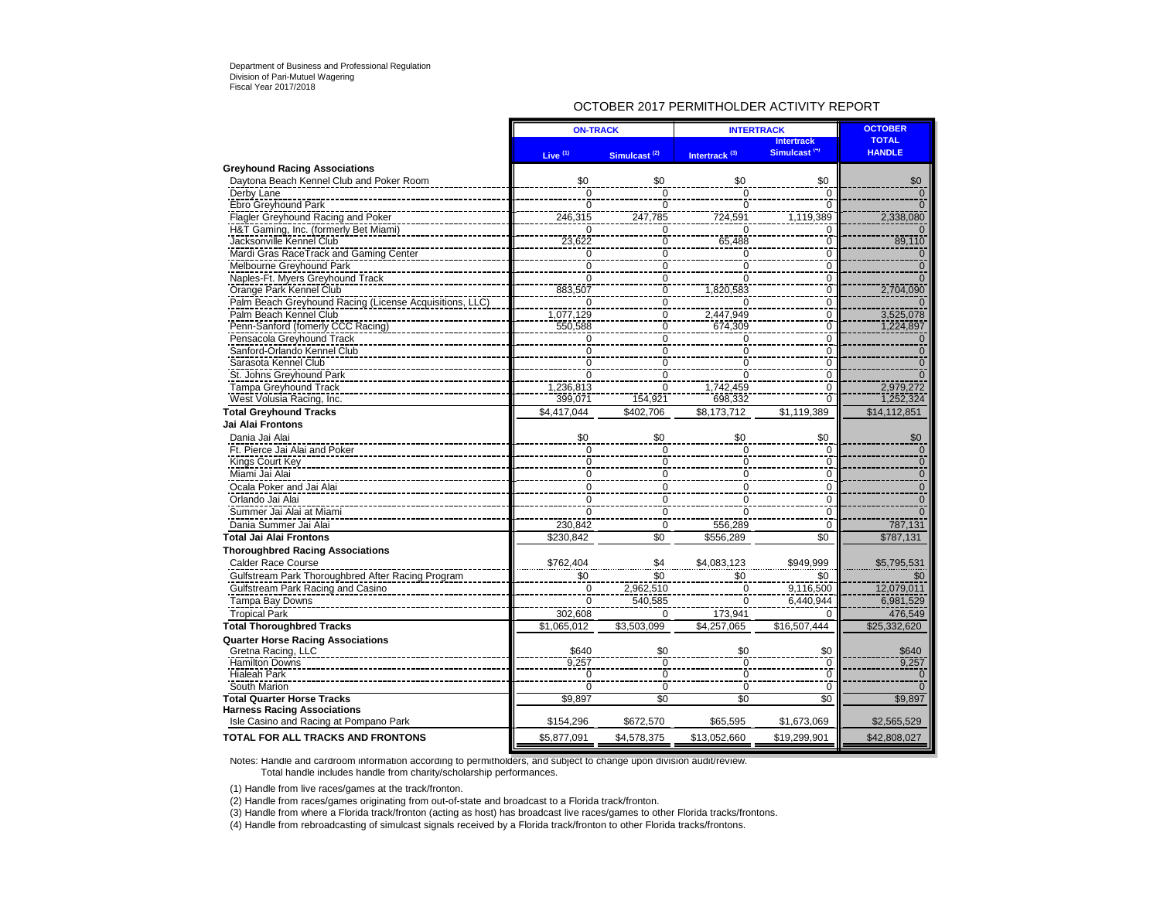### OCTOBER 2017 PERMITHOLDER ACTIVITY REPORT

|                                                                                    | <b>ON-TRACK</b>                  |                          | <b>INTERTRACK</b>         | <b>OCTOBER</b>                                |                               |
|------------------------------------------------------------------------------------|----------------------------------|--------------------------|---------------------------|-----------------------------------------------|-------------------------------|
|                                                                                    | Live $(1)$                       | Simulcast <sup>(2)</sup> | Intertrack <sup>(3)</sup> | <b>Intertrack</b><br>Simulcast <sup>(4)</sup> | <b>TOTAL</b><br><b>HANDLE</b> |
| <b>Greyhound Racing Associations</b>                                               |                                  |                          |                           |                                               |                               |
| Daytona Beach Kennel Club and Poker Room                                           | \$0                              | \$0                      | \$0                       | \$0                                           | \$0                           |
| Derby Lane                                                                         | $\mathbf 0$                      | $\mathbf 0$              | $\Omega$                  | 0                                             | $\overline{0}$                |
| Ebro Greyhound Park                                                                | $\overline{0}$                   | $\overline{0}$           | $\Omega$                  | $\overline{0}$                                |                               |
| <b>Flagler Greyhound Racing and Poker</b>                                          | 246,315                          | 247,785                  | 724,591                   | 1,119,389                                     | 2,338,080                     |
| H&T Gaming, Inc. (formerly Bet Miami)                                              | $\mathbf 0$                      | 0                        | 0                         | $\mathbf 0$                                   |                               |
| Jacksonville Kennel Club                                                           | 23,622                           | $\bar{0}$                | 65,488                    | 0                                             | 89,110                        |
| Mardi Gras RaceTrack and Gaming Center                                             | 0                                | $\overline{0}$           | 0                         | $\overline{0}$                                | $\Omega$                      |
| Melbourne Greyhound Park                                                           | $\overline{0}$                   | $\overline{0}$           | $\overline{0}$            | $\overline{0}$                                | $\Omega$                      |
| Naples-Ft. Myers Greyhound Track                                                   | $\mathbf 0$                      | $\overline{0}$           | 0                         | $\overline{0}$                                | <sup>n</sup>                  |
| Orange Park Kennel Club                                                            | 883,507                          | $\mathbf 0$              | 1,820,583                 | 0                                             | 2,704,090                     |
| Palm Beach Greyhound Racing (License Acquisitions, LLC                             | $\Omega$                         | $\overline{0}$           | $\Omega$                  | $\overline{0}$                                |                               |
| Palm Beach Kennel Club                                                             | 1,077,129                        | $\overline{0}$           | 2,447,949                 | $\overline{0}$                                | 3,525,078                     |
| Penn-Sanford (fomerly CCC Racing)                                                  | 550,588                          | $\check{0}$              | 674,309                   | $\overline{0}$                                | 1,224,897                     |
| Pensacola Greyhound Track                                                          | 0                                | $\bar{0}$                | 0                         | 0                                             | $\Omega$                      |
| Sanford-Orlando Kennel Club                                                        | $\overline{0}$                   | $\frac{0}{0}$            | $\overline{0}$            | $\overline{0}$                                | $\Omega$                      |
| Sarasota Kennel Club                                                               | $\overline{0}$<br>$\overline{0}$ |                          | $\overline{0}$            | $\overline{0}$                                | $\Omega$                      |
| St. Johns Greyhound Park                                                           |                                  | $\overline{0}$           | $\overline{0}$            | Ō<br>$\overline{0}$                           | $\Omega$                      |
| Tampa Greyhound Track                                                              | 1,236,813                        | $\overline{0}$           | 1,742,459                 |                                               | 2,979,272                     |
| West Volusia Racing, Inc.                                                          | 399,071                          | 154,921                  | 698,332                   | $\overline{0}$                                | 1,252,324                     |
| <b>Total Greyhound Tracks</b>                                                      | \$4,417,044                      | \$402,706                | \$8,173,712               | \$1,119,389                                   | \$14, 112, 851                |
| Jai Alai Frontons                                                                  |                                  |                          |                           |                                               |                               |
| Dania Jai Alai                                                                     | \$0                              | \$0                      | \$0                       | \$0                                           | \$0                           |
| Ft. Pierce Jai Alai and Poker                                                      | $\Omega$                         | $\Omega$                 | $\mathbf 0$               | $\Omega$                                      | $\Omega$                      |
| <b>Kings Court Key</b>                                                             | $\overline{0}$                   | $\bar{\mathbf{0}}$       | $\bar{0}$                 | $\overline{0}$                                | $\overline{0}$                |
| Miami Jai Alai                                                                     | $\mathbf 0$                      | 0                        | 0                         | 0                                             | $\Omega$                      |
| Ocala Poker and Jai Alai                                                           | $\mathbf 0$                      | $\mathbf 0$              | $\frac{0}{0}$             | $\overline{0}$                                | $\mathbf 0$                   |
| Orlando Jai Alai                                                                   | $\mathbf 0$                      | $\mathbf 0$              |                           | $\mathbf 0$                                   | $\Omega$                      |
| Summer Jai Alai at Miami                                                           | $\Omega$                         | $\mathbf 0$              | $\overline{0}$            | $\mathbf 0$                                   | $\Omega$                      |
| Dania Summer Jai Alai                                                              | 230,842                          | $\mathbf 0$              | 556,289                   | $\mathbf 0$                                   | 787,131                       |
| <b>Total Jai Alai Frontons</b>                                                     | \$230,842                        | \$0                      | \$556,289                 | \$0                                           | \$787,131                     |
| <b>Thoroughbred Racing Associations</b>                                            |                                  |                          |                           |                                               |                               |
| Calder Race Course                                                                 | \$762,404                        | \$4                      | \$4,083,123               | \$949,999                                     | \$5,795,531                   |
| Gulfstream Park Thoroughbred After Racing Program                                  | \$0                              | \$0                      | \$0                       | \$0                                           | \$0                           |
| Gulfstream Park Racing and Casino                                                  | $\mathbf 0$                      | 2,962,510                | $\mathbf 0$               | 9,116,500                                     | 12,079,011                    |
| Tampa Bay Downs                                                                    | 0                                | 540,585                  | 0                         | 6,440,944                                     | 6,981,529                     |
| <b>Tropical Park</b>                                                               | 302.608                          | $\Omega$                 | 173,941                   | $\Omega$                                      | 476,549                       |
| <b>Total Thoroughbred Tracks</b>                                                   | \$1,065,012                      | \$3,503,099              | \$4,257,065               | \$16,507,444                                  | \$25,332,620                  |
| <b>Quarter Horse Racing Associations</b>                                           |                                  |                          |                           |                                               |                               |
| Gretna Racing, LLC                                                                 | \$640                            | \$0                      | \$0                       | $\frac{$0}{0}$                                | \$640                         |
| Hamilton Downs                                                                     | 9.257                            | $\overline{0}$           | ō                         |                                               | 9,257                         |
| <b>Hialeah Park</b>                                                                | 0                                | 0                        | 0                         | $\mathbf 0$                                   | $\Omega$                      |
| South Marion                                                                       | $\overline{0}$                   | $\overline{0}$           | $\overline{0}$            | $\overline{0}$                                |                               |
| <b>Total Quarter Horse Tracks</b>                                                  | \$9,897                          | \$0                      | \$0                       | \$0                                           | \$9,897                       |
| <b>Harness Racing Associations</b>                                                 |                                  |                          |                           |                                               |                               |
| Isle Casino and Racing at Pompano Park<br><b>TOTAL FOR ALL TRACKS AND FRONTONS</b> | \$154,296                        | \$672,570                | \$65,595                  | \$1,673,069                                   | \$2,565,529                   |
|                                                                                    | \$5,877,091                      | \$4,578,375              | \$13,052,660              | \$19,299,901                                  | \$42,808,027                  |

Notes: Handle and cardroom information according to permitholders, and subject to change upon division audit/review. Total handle includes handle from charity/scholarship performances.

(1) Handle from live races/games at the track/fronton.

(2) Handle from races/games originating from out-of-state and broadcast to a Florida track/fronton.

(3) Handle from where a Florida track/fronton (acting as host) has broadcast live races/games to other Florida tracks/frontons.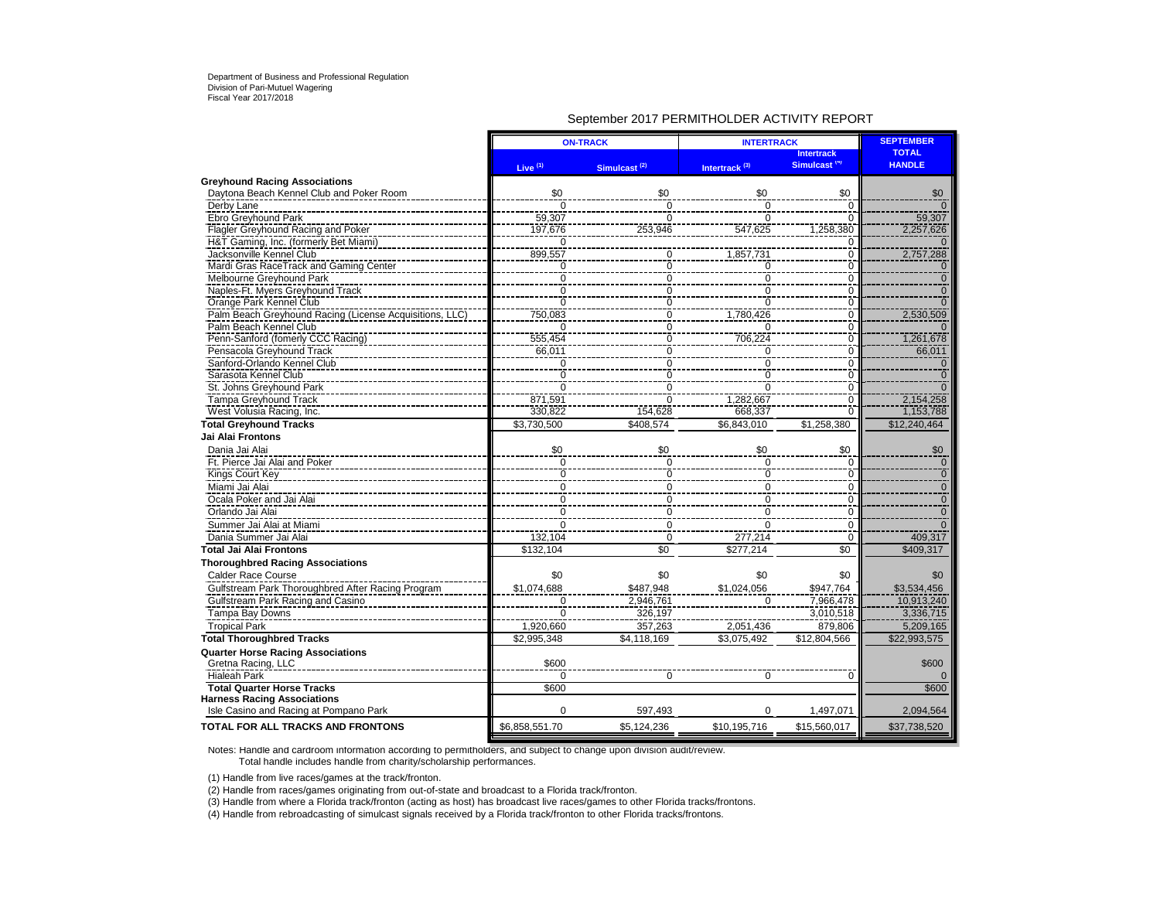### September 2017 PERMITHOLDER ACTIVITY REPORT

|                                                         |                                      | <b>ON-TRACK</b>          | <b>INTERTRACK</b>         | <b>SEPTEMBER</b>                              |                               |
|---------------------------------------------------------|--------------------------------------|--------------------------|---------------------------|-----------------------------------------------|-------------------------------|
|                                                         | Live $(1)$                           | Simulcast <sup>(2)</sup> | Intertrack <sup>(3)</sup> | <b>Intertrack</b><br>Simulcast <sup>(4)</sup> | <b>TOTAL</b><br><b>HANDLE</b> |
| <b>Greyhound Racing Associations</b>                    |                                      |                          |                           |                                               |                               |
| Daytona Beach Kennel Club and Poker Room                | \$0                                  | \$0                      | \$0                       | \$0                                           | \$0                           |
| Derby Lane                                              | 0                                    | $\overline{0}$           | 0                         | 0                                             |                               |
| Ebro Greyhound Park                                     | 59,307                               | $\mathbf 0$              | $\Omega$                  | $\mathbf 0$                                   | 59,307                        |
| <b>Flagler Greyhound Racing and Poker</b>               | 197,676                              | 253,946                  | 547,625                   | 1,258,380                                     | 2,257,626                     |
| H&T Gaming, Inc. (formerly Bet Miami)                   | 0                                    |                          |                           | 0                                             |                               |
| Jacksonville Kennel Club                                | 899,557                              | 0                        | 1,857,731                 | $\overline{0}$                                | 2,757,288                     |
| Mardi Gras RaceTrack and Gaming Center                  | $\frac{0}{0}$                        | $\bar{0}$                | Ō                         | $\overline{0}$                                | $\Omega$                      |
| Melbourne Greyhound Park                                |                                      | $\mathbf 0$              | $\overline{0}$            | $\overline{0}$                                | $\overline{0}$                |
| Naples-Ft. Myers Greyhound Track                        | $\overline{0}$                       | $\overline{0}$           | $\overline{0}$            | $\overline{0}$                                | $\overline{0}$                |
| Orange Park Kennel Club                                 | $\frac{8}{0}$                        | $\overline{0}$           | Ō                         | $\overline{0}$                                | $\overline{0}$                |
| Palm Beach Greyhound Racing (License Acquisitions, LLC) | 750,083                              | $\check{\overline{0}}$   | 1,780,426                 | $\overline{0}$                                | 2,530,509                     |
| Palm Beach Kennel Club                                  | $\overline{0}$                       | $\overline{0}$           | $\Omega$                  | $\overline{0}$                                |                               |
| Penn-Sanford (fomerly CCC Racing)                       | 555,454                              | $\overline{0}$           | 706,224                   | $\overline{0}$                                | 1,261,678                     |
| Pensacola Greyhound Track                               | 66,011                               | $\overline{0}$           | 0                         | $\overline{0}$                                | 66,011                        |
| Sanford-Orlando Kennel Club                             | 0                                    | $\mathbf 0$              | $\mathbf 0$               | $\mathbf 0$                                   | $\Omega$                      |
| Sarasota Kennel Club                                    | Ō                                    | $\mathbf 0$              | $\mathbf 0$               | $\overline{0}$                                | $\overline{0}$                |
| St. Johns Greyhound Park                                | $\Omega$                             | $\overline{0}$           | $\overline{0}$            | $\overline{0}$                                | $\overline{0}$                |
| <b>Tampa Greyhound Track</b>                            | 871,591                              | $\mathbf 0$              | 1,282,667                 | $\overline{0}$                                | 2,154,258                     |
| West Volusia Racing, Inc.                               | 330,822                              | 154,628                  | 668,337                   | $\Omega$                                      | 1,153,788                     |
| <b>Total Greyhound Tracks</b>                           | \$3,730,500                          | \$408,574                | \$6,843,010               | \$1,258,380                                   | \$12,240,464                  |
| <b>Jai Alai Frontons</b>                                |                                      |                          |                           |                                               |                               |
| Dania Jai Alai                                          | \$0                                  | \$0                      | \$0                       | \$0                                           | \$0                           |
|                                                         |                                      |                          | $\overline{0}$            |                                               |                               |
| Ft. Pierce Jai Alai and Poker                           | $\pmb{0}$                            | 0                        | Ō                         | 0<br>$\overline{0}$                           | $\mathbf 0$<br>$\overline{0}$ |
| Kings Court Key<br>Miami Jai Alai                       | $\overline{0}$                       | $\overline{0}$           |                           |                                               |                               |
|                                                         | $\overline{0}$                       | $\overline{0}$           | $\overline{0}$            | $\mathbf 0$                                   | $\frac{0}{0}$                 |
| Ocala Poker and Jai Alai                                | $\begin{matrix} 0 \\ 0 \end{matrix}$ | $\overline{0}$           | 0                         | $\pmb{0}$                                     | $\overline{0}$                |
| Orlando Jai Alai                                        |                                      | $\pmb{0}$                | $\overline{0}$            | $\overline{0}$                                |                               |
| Summer Jai Alai at Miami                                | 0                                    | $\mathbf 0$              | $\Omega$                  | $\mathbf 0$                                   |                               |
| Dania Summer Jai Alai                                   | 132,104                              | $\mathbf 0$              | 277,214                   | $\mathbf 0$                                   | 409,317                       |
| Total Jai Alai Frontons                                 | \$132,104                            | \$0                      | \$277.214                 | $\overline{50}$                               | \$409,317                     |
| <b>Thoroughbred Racing Associations</b>                 |                                      |                          |                           |                                               |                               |
| <b>Calder Race Course</b>                               | \$0                                  | \$0                      | \$0                       | \$0                                           | \$0                           |
| Gulfstream Park Thoroughbred After Racing Program       | \$1,074,688                          | \$487,948                | \$1,024,056               | \$947.764                                     | \$3,534,456                   |
| Gulfstream Park Racing and Casino                       | $\mathbf 0$                          | 2,946,761                | $\mathbf 0$               | 7,966,478                                     | 10,913,240                    |
| Tampa Bay Downs                                         | $\Omega$                             | 326,197                  |                           | 3,010,518                                     | 3,336,715                     |
| <b>Tropical Park</b>                                    | 1,920,660                            | 357,263                  | 2,051,436                 | 879,806                                       | 5,209,165                     |
| <b>Total Thoroughbred Tracks</b>                        | \$2,995,348                          | \$4,118,169              | \$3,075,492               | \$12,804,566                                  | \$22,993,575                  |
| <b>Quarter Horse Racing Associations</b>                |                                      |                          |                           |                                               |                               |
| Gretna Racing, LLC                                      | \$600                                |                          |                           |                                               | \$600                         |
| <b>Hialeah Park</b>                                     | $\Omega$                             | $\Omega$                 | $\mathbf 0$               | $\Omega$                                      |                               |
| <b>Total Quarter Horse Tracks</b>                       | \$600                                |                          |                           |                                               | \$600                         |
| <b>Harness Racing Associations</b>                      |                                      |                          |                           |                                               |                               |
| Isle Casino and Racing at Pompano Park                  | $\Omega$                             | 597,493                  | $\Omega$                  | 1,497,071                                     | 2,094,564                     |
| <b>TOTAL FOR ALL TRACKS AND FRONTONS</b>                | \$6,858,551.70                       | \$5,124,236              | \$10,195,716              | \$15,560,017                                  | \$37,738,520                  |

Notes: Handle and cardroom information according to permitholders, and subject to change upon division audit/review. Total handle includes handle from charity/scholarship performances.

(1) Handle from live races/games at the track/fronton.

(2) Handle from races/games originating from out-of-state and broadcast to a Florida track/fronton.

(3) Handle from where a Florida track/fronton (acting as host) has broadcast live races/games to other Florida tracks/frontons.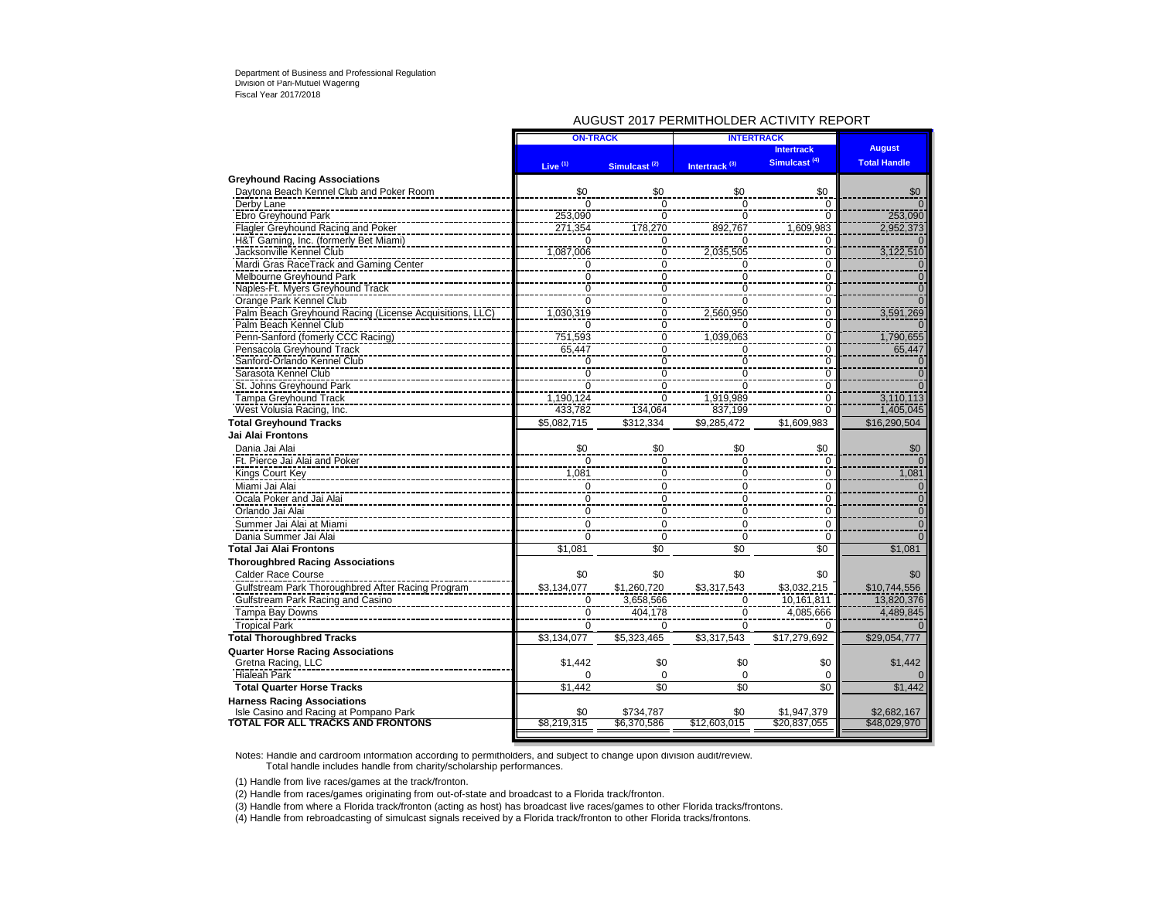### AUGUST 2017 PERMITHOLDER ACTIVITY REPORT

| Simulcast <sup>(4)</sup><br><b>Total Handle</b><br>Live <sup>(1)</sup><br>Intertrack <sup>(3)</sup><br>Simulcast <sup>(2)</sup><br><b>Greyhound Racing Associations</b><br>Daytona Beach Kennel Club and Poker Room<br>\$0<br>\$0<br>\$0<br>\$0<br>\$0<br>Derby Lane<br>$\overline{0}$<br>Ō<br>$\overline{0}$<br>$\Omega$<br>Ebro Greyhound Park<br>253,090<br>$\Omega$<br>$\Omega$<br>253,090<br>$\Omega$<br>Flagler Greyhound Racing and Poker<br>271,354<br>178,270<br>892,767<br>1,609,983<br>2,952,373<br>H&T Gaming, Inc. (formerly Bet Miami)<br>$\mathbf 0$<br>$\mathbf 0$<br>0<br>$\Omega$<br>$\frac{0}{0}$<br>2,035,505<br>Jacksonville Kennel Club<br>1,087,006<br>3,122,510<br>$\mathbf 0$<br>$\overline{0}$<br>Mardi Gras RaceTrack and Gaming Center<br>Ō<br>Ō<br>$\begin{matrix} 0 \\ 0 \end{matrix}$<br>Melbourne Greyhound Park<br>$\overline{0}$<br>$\overline{0}$<br>$\overline{0}$<br>$\mathbf{0}$<br>$\overline{0}$<br>$\overline{0}$<br>Naples-Ft. Myers Greyhound Track<br>$\overline{0}$<br>$\overline{0}$<br>$\overline{0}$<br>Orange Park Kennel Club<br>Ō<br>Ō<br>0<br><sup>n</sup><br>$\bar{0}$<br>Palm Beach Greyhound Racing (License Acquisitions, LLC)<br>1,030,319<br>2,560,950<br>3,591,269<br>$\mathbf 0$<br>Palm Beach Kennel Club<br>Ō<br>$\Omega$<br>$\mathbf 0$<br>$\Omega$<br>$\ddot{\text{o}}$<br>Penn-Sanford (fomerly CCC Racing)<br>751,593<br>1,039,063<br>1,790,655<br>$\mathbf 0$<br>Pensacola Greyhound Track<br>$\mathbf 0$<br>65,447<br>65,447<br>$\mathbf 0$<br>$\Omega$<br>$\mathbf 0$<br>Sanford-Orlando Kennel Club<br>$\mathbf 0$<br>$\mathbf 0$<br>0<br>$\mathbf 0$<br>Sarasota Kennel Club<br>$\overline{0}$<br>$\frac{0}{0}$<br>$\mathbf 0$<br>0<br>$\mathbf 0$<br>St. Johns Greyhound Park<br>$\pmb{0}$<br>$\mathbf 0$<br>$\mathbf 0$<br><b>Tampa Greyhound Track</b><br>1,190,124<br>$\mathbf 0$<br>1,919,989<br>3,110,113<br>$\Omega$<br>West Volusia Racing, Inc.<br>433,782<br>134,064<br>1,405,045<br>837,199<br>$\Omega$<br><b>Total Greyhound Tracks</b><br>\$1.609.983<br>\$16,290,504<br>\$5,082,715<br>\$312,334<br>\$9.285.472<br>Jai Alai Frontons<br>Dania Jai Alai<br>\$0<br>\$0<br>\$0<br>\$0<br>\$0<br>Ft. Pierce Jai Alai and Poker<br>$\Omega$<br>$\mathbf 0$<br>$\mathbf 0$<br>$\Omega$<br>$\Omega$<br>Kings Court Key<br>1,081<br>1,081<br>0<br>$\mathbf 0$<br>0<br>Miami Jai Alai<br>$\mathbf 0$<br>$\mathbf 0$<br>$\mathbf 0$<br>$\mathbf 0$<br>$\mathbf{0}$<br>$\overline{0}$<br>Ocala Poker and Jai Alai<br>$\overline{0}$<br>$\overline{0}$<br>Ō<br>$\Omega$<br>Orlando Jai Alai<br>$\mathbf 0$<br>0<br>$\mathbf 0$<br>$\pmb{0}$<br>$\mathbf 0$<br>Summer Jai Alai at Miami<br>$\mathbf 0$<br>0<br>0<br>$\mathbf 0$<br>$\mathbf 0$<br>Dania Summer Jai Alai<br>$\Omega$<br>$\Omega$<br>$\Omega$<br>$\Omega$<br>$\Omega$<br>\$0<br><b>Total Jai Alai Frontons</b><br>\$1,081<br>\$0<br>\$0<br>\$1,081<br><b>Thoroughbred Racing Associations</b><br><b>Calder Race Course</b><br>\$0<br>\$0<br>\$0<br>\$0<br>\$0<br>Gulfstream Park Thoroughbred After Racing Program<br>\$3,134,077<br>\$1,260,720<br>\$3,317,543<br>\$3,032,215<br>\$10,744,556<br>Gulfstream Park Racing and Casino<br>$\overline{0}$<br>10.161.811<br>13,820,376<br>3,658,566<br>$\mathbf 0$<br>Tampa Bay Downs<br>$\pmb{0}$<br>4,085,666<br>4,489,845<br>0<br>404,178<br>$\overline{0}$<br><b>Tropical Park</b><br>$\Omega$<br>$\Omega$<br>$\Omega$<br><b>Total Thoroughbred Tracks</b><br>\$3,134,077<br>\$5,323,465<br>\$3,317,543<br>\$17,279,692<br>\$29,054,777<br><b>Quarter Horse Racing Associations</b><br>Gretna Racing, LLC<br>\$0<br>\$0<br>\$0<br>\$1,442<br>\$1.442<br>Hialeah Park<br>$\mathbf 0$<br>$\mathbf 0$<br>$\Omega$<br>$\Omega$<br><b>Total Quarter Horse Tracks</b><br>$\overline{50}$<br>$\overline{50}$<br>$\overline{50}$<br>\$1,442<br>\$1,442<br><b>Harness Racing Associations</b><br>Isle Casino and Racing at Pompano Park<br>\$2,682,167<br>\$734,787<br>\$1,947,379<br>\$0<br>\$0<br>TOTAL FOR ALL TRACKS AND FRONTONS<br>\$8,219,315<br>\$6.370.586<br>\$12,603,015<br>\$20.837.055<br>\$48,029,970 | <b>ON-TRACK</b> | <b>INTERTRACK</b> |                   |               |
|-------------------------------------------------------------------------------------------------------------------------------------------------------------------------------------------------------------------------------------------------------------------------------------------------------------------------------------------------------------------------------------------------------------------------------------------------------------------------------------------------------------------------------------------------------------------------------------------------------------------------------------------------------------------------------------------------------------------------------------------------------------------------------------------------------------------------------------------------------------------------------------------------------------------------------------------------------------------------------------------------------------------------------------------------------------------------------------------------------------------------------------------------------------------------------------------------------------------------------------------------------------------------------------------------------------------------------------------------------------------------------------------------------------------------------------------------------------------------------------------------------------------------------------------------------------------------------------------------------------------------------------------------------------------------------------------------------------------------------------------------------------------------------------------------------------------------------------------------------------------------------------------------------------------------------------------------------------------------------------------------------------------------------------------------------------------------------------------------------------------------------------------------------------------------------------------------------------------------------------------------------------------------------------------------------------------------------------------------------------------------------------------------------------------------------------------------------------------------------------------------------------------------------------------------------------------------------------------------------------------------------------------------------------------------------------------------------------------------------------------------------------------------------------------------------------------------------------------------------------------------------------------------------------------------------------------------------------------------------------------------------------------------------------------------------------------------------------------------------------------------------------------------------------------------------------------------------------------------------------------------------------------------------------------------------------------------------------------------------------------------------------------------------------------------------------------------------------------------------------------------------------------------------------------------------------------------------------------------------------------------------------------------------------------------------------------------------------------------------------------------------------------------------------------------------------------------------------------------------------------------------------------------------------------------------------------------------------------------------------------------------------------------------------------------------------------------------------------------|-----------------|-------------------|-------------------|---------------|
|                                                                                                                                                                                                                                                                                                                                                                                                                                                                                                                                                                                                                                                                                                                                                                                                                                                                                                                                                                                                                                                                                                                                                                                                                                                                                                                                                                                                                                                                                                                                                                                                                                                                                                                                                                                                                                                                                                                                                                                                                                                                                                                                                                                                                                                                                                                                                                                                                                                                                                                                                                                                                                                                                                                                                                                                                                                                                                                                                                                                                                                                                                                                                                                                                                                                                                                                                                                                                                                                                                                                                                                                                                                                                                                                                                                                                                                                                                                                                                                                                                                                                                 |                 |                   | <b>Intertrack</b> | <b>August</b> |
|                                                                                                                                                                                                                                                                                                                                                                                                                                                                                                                                                                                                                                                                                                                                                                                                                                                                                                                                                                                                                                                                                                                                                                                                                                                                                                                                                                                                                                                                                                                                                                                                                                                                                                                                                                                                                                                                                                                                                                                                                                                                                                                                                                                                                                                                                                                                                                                                                                                                                                                                                                                                                                                                                                                                                                                                                                                                                                                                                                                                                                                                                                                                                                                                                                                                                                                                                                                                                                                                                                                                                                                                                                                                                                                                                                                                                                                                                                                                                                                                                                                                                                 |                 |                   |                   |               |
|                                                                                                                                                                                                                                                                                                                                                                                                                                                                                                                                                                                                                                                                                                                                                                                                                                                                                                                                                                                                                                                                                                                                                                                                                                                                                                                                                                                                                                                                                                                                                                                                                                                                                                                                                                                                                                                                                                                                                                                                                                                                                                                                                                                                                                                                                                                                                                                                                                                                                                                                                                                                                                                                                                                                                                                                                                                                                                                                                                                                                                                                                                                                                                                                                                                                                                                                                                                                                                                                                                                                                                                                                                                                                                                                                                                                                                                                                                                                                                                                                                                                                                 |                 |                   |                   |               |
|                                                                                                                                                                                                                                                                                                                                                                                                                                                                                                                                                                                                                                                                                                                                                                                                                                                                                                                                                                                                                                                                                                                                                                                                                                                                                                                                                                                                                                                                                                                                                                                                                                                                                                                                                                                                                                                                                                                                                                                                                                                                                                                                                                                                                                                                                                                                                                                                                                                                                                                                                                                                                                                                                                                                                                                                                                                                                                                                                                                                                                                                                                                                                                                                                                                                                                                                                                                                                                                                                                                                                                                                                                                                                                                                                                                                                                                                                                                                                                                                                                                                                                 |                 |                   |                   |               |
|                                                                                                                                                                                                                                                                                                                                                                                                                                                                                                                                                                                                                                                                                                                                                                                                                                                                                                                                                                                                                                                                                                                                                                                                                                                                                                                                                                                                                                                                                                                                                                                                                                                                                                                                                                                                                                                                                                                                                                                                                                                                                                                                                                                                                                                                                                                                                                                                                                                                                                                                                                                                                                                                                                                                                                                                                                                                                                                                                                                                                                                                                                                                                                                                                                                                                                                                                                                                                                                                                                                                                                                                                                                                                                                                                                                                                                                                                                                                                                                                                                                                                                 |                 |                   |                   |               |
|                                                                                                                                                                                                                                                                                                                                                                                                                                                                                                                                                                                                                                                                                                                                                                                                                                                                                                                                                                                                                                                                                                                                                                                                                                                                                                                                                                                                                                                                                                                                                                                                                                                                                                                                                                                                                                                                                                                                                                                                                                                                                                                                                                                                                                                                                                                                                                                                                                                                                                                                                                                                                                                                                                                                                                                                                                                                                                                                                                                                                                                                                                                                                                                                                                                                                                                                                                                                                                                                                                                                                                                                                                                                                                                                                                                                                                                                                                                                                                                                                                                                                                 |                 |                   |                   |               |
|                                                                                                                                                                                                                                                                                                                                                                                                                                                                                                                                                                                                                                                                                                                                                                                                                                                                                                                                                                                                                                                                                                                                                                                                                                                                                                                                                                                                                                                                                                                                                                                                                                                                                                                                                                                                                                                                                                                                                                                                                                                                                                                                                                                                                                                                                                                                                                                                                                                                                                                                                                                                                                                                                                                                                                                                                                                                                                                                                                                                                                                                                                                                                                                                                                                                                                                                                                                                                                                                                                                                                                                                                                                                                                                                                                                                                                                                                                                                                                                                                                                                                                 |                 |                   |                   |               |
|                                                                                                                                                                                                                                                                                                                                                                                                                                                                                                                                                                                                                                                                                                                                                                                                                                                                                                                                                                                                                                                                                                                                                                                                                                                                                                                                                                                                                                                                                                                                                                                                                                                                                                                                                                                                                                                                                                                                                                                                                                                                                                                                                                                                                                                                                                                                                                                                                                                                                                                                                                                                                                                                                                                                                                                                                                                                                                                                                                                                                                                                                                                                                                                                                                                                                                                                                                                                                                                                                                                                                                                                                                                                                                                                                                                                                                                                                                                                                                                                                                                                                                 |                 |                   |                   |               |
|                                                                                                                                                                                                                                                                                                                                                                                                                                                                                                                                                                                                                                                                                                                                                                                                                                                                                                                                                                                                                                                                                                                                                                                                                                                                                                                                                                                                                                                                                                                                                                                                                                                                                                                                                                                                                                                                                                                                                                                                                                                                                                                                                                                                                                                                                                                                                                                                                                                                                                                                                                                                                                                                                                                                                                                                                                                                                                                                                                                                                                                                                                                                                                                                                                                                                                                                                                                                                                                                                                                                                                                                                                                                                                                                                                                                                                                                                                                                                                                                                                                                                                 |                 |                   |                   |               |
|                                                                                                                                                                                                                                                                                                                                                                                                                                                                                                                                                                                                                                                                                                                                                                                                                                                                                                                                                                                                                                                                                                                                                                                                                                                                                                                                                                                                                                                                                                                                                                                                                                                                                                                                                                                                                                                                                                                                                                                                                                                                                                                                                                                                                                                                                                                                                                                                                                                                                                                                                                                                                                                                                                                                                                                                                                                                                                                                                                                                                                                                                                                                                                                                                                                                                                                                                                                                                                                                                                                                                                                                                                                                                                                                                                                                                                                                                                                                                                                                                                                                                                 |                 |                   |                   |               |
|                                                                                                                                                                                                                                                                                                                                                                                                                                                                                                                                                                                                                                                                                                                                                                                                                                                                                                                                                                                                                                                                                                                                                                                                                                                                                                                                                                                                                                                                                                                                                                                                                                                                                                                                                                                                                                                                                                                                                                                                                                                                                                                                                                                                                                                                                                                                                                                                                                                                                                                                                                                                                                                                                                                                                                                                                                                                                                                                                                                                                                                                                                                                                                                                                                                                                                                                                                                                                                                                                                                                                                                                                                                                                                                                                                                                                                                                                                                                                                                                                                                                                                 |                 |                   |                   |               |
|                                                                                                                                                                                                                                                                                                                                                                                                                                                                                                                                                                                                                                                                                                                                                                                                                                                                                                                                                                                                                                                                                                                                                                                                                                                                                                                                                                                                                                                                                                                                                                                                                                                                                                                                                                                                                                                                                                                                                                                                                                                                                                                                                                                                                                                                                                                                                                                                                                                                                                                                                                                                                                                                                                                                                                                                                                                                                                                                                                                                                                                                                                                                                                                                                                                                                                                                                                                                                                                                                                                                                                                                                                                                                                                                                                                                                                                                                                                                                                                                                                                                                                 |                 |                   |                   |               |
|                                                                                                                                                                                                                                                                                                                                                                                                                                                                                                                                                                                                                                                                                                                                                                                                                                                                                                                                                                                                                                                                                                                                                                                                                                                                                                                                                                                                                                                                                                                                                                                                                                                                                                                                                                                                                                                                                                                                                                                                                                                                                                                                                                                                                                                                                                                                                                                                                                                                                                                                                                                                                                                                                                                                                                                                                                                                                                                                                                                                                                                                                                                                                                                                                                                                                                                                                                                                                                                                                                                                                                                                                                                                                                                                                                                                                                                                                                                                                                                                                                                                                                 |                 |                   |                   |               |
|                                                                                                                                                                                                                                                                                                                                                                                                                                                                                                                                                                                                                                                                                                                                                                                                                                                                                                                                                                                                                                                                                                                                                                                                                                                                                                                                                                                                                                                                                                                                                                                                                                                                                                                                                                                                                                                                                                                                                                                                                                                                                                                                                                                                                                                                                                                                                                                                                                                                                                                                                                                                                                                                                                                                                                                                                                                                                                                                                                                                                                                                                                                                                                                                                                                                                                                                                                                                                                                                                                                                                                                                                                                                                                                                                                                                                                                                                                                                                                                                                                                                                                 |                 |                   |                   |               |
|                                                                                                                                                                                                                                                                                                                                                                                                                                                                                                                                                                                                                                                                                                                                                                                                                                                                                                                                                                                                                                                                                                                                                                                                                                                                                                                                                                                                                                                                                                                                                                                                                                                                                                                                                                                                                                                                                                                                                                                                                                                                                                                                                                                                                                                                                                                                                                                                                                                                                                                                                                                                                                                                                                                                                                                                                                                                                                                                                                                                                                                                                                                                                                                                                                                                                                                                                                                                                                                                                                                                                                                                                                                                                                                                                                                                                                                                                                                                                                                                                                                                                                 |                 |                   |                   |               |
|                                                                                                                                                                                                                                                                                                                                                                                                                                                                                                                                                                                                                                                                                                                                                                                                                                                                                                                                                                                                                                                                                                                                                                                                                                                                                                                                                                                                                                                                                                                                                                                                                                                                                                                                                                                                                                                                                                                                                                                                                                                                                                                                                                                                                                                                                                                                                                                                                                                                                                                                                                                                                                                                                                                                                                                                                                                                                                                                                                                                                                                                                                                                                                                                                                                                                                                                                                                                                                                                                                                                                                                                                                                                                                                                                                                                                                                                                                                                                                                                                                                                                                 |                 |                   |                   |               |
|                                                                                                                                                                                                                                                                                                                                                                                                                                                                                                                                                                                                                                                                                                                                                                                                                                                                                                                                                                                                                                                                                                                                                                                                                                                                                                                                                                                                                                                                                                                                                                                                                                                                                                                                                                                                                                                                                                                                                                                                                                                                                                                                                                                                                                                                                                                                                                                                                                                                                                                                                                                                                                                                                                                                                                                                                                                                                                                                                                                                                                                                                                                                                                                                                                                                                                                                                                                                                                                                                                                                                                                                                                                                                                                                                                                                                                                                                                                                                                                                                                                                                                 |                 |                   |                   |               |
|                                                                                                                                                                                                                                                                                                                                                                                                                                                                                                                                                                                                                                                                                                                                                                                                                                                                                                                                                                                                                                                                                                                                                                                                                                                                                                                                                                                                                                                                                                                                                                                                                                                                                                                                                                                                                                                                                                                                                                                                                                                                                                                                                                                                                                                                                                                                                                                                                                                                                                                                                                                                                                                                                                                                                                                                                                                                                                                                                                                                                                                                                                                                                                                                                                                                                                                                                                                                                                                                                                                                                                                                                                                                                                                                                                                                                                                                                                                                                                                                                                                                                                 |                 |                   |                   |               |
|                                                                                                                                                                                                                                                                                                                                                                                                                                                                                                                                                                                                                                                                                                                                                                                                                                                                                                                                                                                                                                                                                                                                                                                                                                                                                                                                                                                                                                                                                                                                                                                                                                                                                                                                                                                                                                                                                                                                                                                                                                                                                                                                                                                                                                                                                                                                                                                                                                                                                                                                                                                                                                                                                                                                                                                                                                                                                                                                                                                                                                                                                                                                                                                                                                                                                                                                                                                                                                                                                                                                                                                                                                                                                                                                                                                                                                                                                                                                                                                                                                                                                                 |                 |                   |                   |               |
|                                                                                                                                                                                                                                                                                                                                                                                                                                                                                                                                                                                                                                                                                                                                                                                                                                                                                                                                                                                                                                                                                                                                                                                                                                                                                                                                                                                                                                                                                                                                                                                                                                                                                                                                                                                                                                                                                                                                                                                                                                                                                                                                                                                                                                                                                                                                                                                                                                                                                                                                                                                                                                                                                                                                                                                                                                                                                                                                                                                                                                                                                                                                                                                                                                                                                                                                                                                                                                                                                                                                                                                                                                                                                                                                                                                                                                                                                                                                                                                                                                                                                                 |                 |                   |                   |               |
|                                                                                                                                                                                                                                                                                                                                                                                                                                                                                                                                                                                                                                                                                                                                                                                                                                                                                                                                                                                                                                                                                                                                                                                                                                                                                                                                                                                                                                                                                                                                                                                                                                                                                                                                                                                                                                                                                                                                                                                                                                                                                                                                                                                                                                                                                                                                                                                                                                                                                                                                                                                                                                                                                                                                                                                                                                                                                                                                                                                                                                                                                                                                                                                                                                                                                                                                                                                                                                                                                                                                                                                                                                                                                                                                                                                                                                                                                                                                                                                                                                                                                                 |                 |                   |                   |               |
|                                                                                                                                                                                                                                                                                                                                                                                                                                                                                                                                                                                                                                                                                                                                                                                                                                                                                                                                                                                                                                                                                                                                                                                                                                                                                                                                                                                                                                                                                                                                                                                                                                                                                                                                                                                                                                                                                                                                                                                                                                                                                                                                                                                                                                                                                                                                                                                                                                                                                                                                                                                                                                                                                                                                                                                                                                                                                                                                                                                                                                                                                                                                                                                                                                                                                                                                                                                                                                                                                                                                                                                                                                                                                                                                                                                                                                                                                                                                                                                                                                                                                                 |                 |                   |                   |               |
|                                                                                                                                                                                                                                                                                                                                                                                                                                                                                                                                                                                                                                                                                                                                                                                                                                                                                                                                                                                                                                                                                                                                                                                                                                                                                                                                                                                                                                                                                                                                                                                                                                                                                                                                                                                                                                                                                                                                                                                                                                                                                                                                                                                                                                                                                                                                                                                                                                                                                                                                                                                                                                                                                                                                                                                                                                                                                                                                                                                                                                                                                                                                                                                                                                                                                                                                                                                                                                                                                                                                                                                                                                                                                                                                                                                                                                                                                                                                                                                                                                                                                                 |                 |                   |                   |               |
|                                                                                                                                                                                                                                                                                                                                                                                                                                                                                                                                                                                                                                                                                                                                                                                                                                                                                                                                                                                                                                                                                                                                                                                                                                                                                                                                                                                                                                                                                                                                                                                                                                                                                                                                                                                                                                                                                                                                                                                                                                                                                                                                                                                                                                                                                                                                                                                                                                                                                                                                                                                                                                                                                                                                                                                                                                                                                                                                                                                                                                                                                                                                                                                                                                                                                                                                                                                                                                                                                                                                                                                                                                                                                                                                                                                                                                                                                                                                                                                                                                                                                                 |                 |                   |                   |               |
|                                                                                                                                                                                                                                                                                                                                                                                                                                                                                                                                                                                                                                                                                                                                                                                                                                                                                                                                                                                                                                                                                                                                                                                                                                                                                                                                                                                                                                                                                                                                                                                                                                                                                                                                                                                                                                                                                                                                                                                                                                                                                                                                                                                                                                                                                                                                                                                                                                                                                                                                                                                                                                                                                                                                                                                                                                                                                                                                                                                                                                                                                                                                                                                                                                                                                                                                                                                                                                                                                                                                                                                                                                                                                                                                                                                                                                                                                                                                                                                                                                                                                                 |                 |                   |                   |               |
|                                                                                                                                                                                                                                                                                                                                                                                                                                                                                                                                                                                                                                                                                                                                                                                                                                                                                                                                                                                                                                                                                                                                                                                                                                                                                                                                                                                                                                                                                                                                                                                                                                                                                                                                                                                                                                                                                                                                                                                                                                                                                                                                                                                                                                                                                                                                                                                                                                                                                                                                                                                                                                                                                                                                                                                                                                                                                                                                                                                                                                                                                                                                                                                                                                                                                                                                                                                                                                                                                                                                                                                                                                                                                                                                                                                                                                                                                                                                                                                                                                                                                                 |                 |                   |                   |               |
|                                                                                                                                                                                                                                                                                                                                                                                                                                                                                                                                                                                                                                                                                                                                                                                                                                                                                                                                                                                                                                                                                                                                                                                                                                                                                                                                                                                                                                                                                                                                                                                                                                                                                                                                                                                                                                                                                                                                                                                                                                                                                                                                                                                                                                                                                                                                                                                                                                                                                                                                                                                                                                                                                                                                                                                                                                                                                                                                                                                                                                                                                                                                                                                                                                                                                                                                                                                                                                                                                                                                                                                                                                                                                                                                                                                                                                                                                                                                                                                                                                                                                                 |                 |                   |                   |               |
|                                                                                                                                                                                                                                                                                                                                                                                                                                                                                                                                                                                                                                                                                                                                                                                                                                                                                                                                                                                                                                                                                                                                                                                                                                                                                                                                                                                                                                                                                                                                                                                                                                                                                                                                                                                                                                                                                                                                                                                                                                                                                                                                                                                                                                                                                                                                                                                                                                                                                                                                                                                                                                                                                                                                                                                                                                                                                                                                                                                                                                                                                                                                                                                                                                                                                                                                                                                                                                                                                                                                                                                                                                                                                                                                                                                                                                                                                                                                                                                                                                                                                                 |                 |                   |                   |               |
|                                                                                                                                                                                                                                                                                                                                                                                                                                                                                                                                                                                                                                                                                                                                                                                                                                                                                                                                                                                                                                                                                                                                                                                                                                                                                                                                                                                                                                                                                                                                                                                                                                                                                                                                                                                                                                                                                                                                                                                                                                                                                                                                                                                                                                                                                                                                                                                                                                                                                                                                                                                                                                                                                                                                                                                                                                                                                                                                                                                                                                                                                                                                                                                                                                                                                                                                                                                                                                                                                                                                                                                                                                                                                                                                                                                                                                                                                                                                                                                                                                                                                                 |                 |                   |                   |               |
|                                                                                                                                                                                                                                                                                                                                                                                                                                                                                                                                                                                                                                                                                                                                                                                                                                                                                                                                                                                                                                                                                                                                                                                                                                                                                                                                                                                                                                                                                                                                                                                                                                                                                                                                                                                                                                                                                                                                                                                                                                                                                                                                                                                                                                                                                                                                                                                                                                                                                                                                                                                                                                                                                                                                                                                                                                                                                                                                                                                                                                                                                                                                                                                                                                                                                                                                                                                                                                                                                                                                                                                                                                                                                                                                                                                                                                                                                                                                                                                                                                                                                                 |                 |                   |                   |               |
|                                                                                                                                                                                                                                                                                                                                                                                                                                                                                                                                                                                                                                                                                                                                                                                                                                                                                                                                                                                                                                                                                                                                                                                                                                                                                                                                                                                                                                                                                                                                                                                                                                                                                                                                                                                                                                                                                                                                                                                                                                                                                                                                                                                                                                                                                                                                                                                                                                                                                                                                                                                                                                                                                                                                                                                                                                                                                                                                                                                                                                                                                                                                                                                                                                                                                                                                                                                                                                                                                                                                                                                                                                                                                                                                                                                                                                                                                                                                                                                                                                                                                                 |                 |                   |                   |               |
|                                                                                                                                                                                                                                                                                                                                                                                                                                                                                                                                                                                                                                                                                                                                                                                                                                                                                                                                                                                                                                                                                                                                                                                                                                                                                                                                                                                                                                                                                                                                                                                                                                                                                                                                                                                                                                                                                                                                                                                                                                                                                                                                                                                                                                                                                                                                                                                                                                                                                                                                                                                                                                                                                                                                                                                                                                                                                                                                                                                                                                                                                                                                                                                                                                                                                                                                                                                                                                                                                                                                                                                                                                                                                                                                                                                                                                                                                                                                                                                                                                                                                                 |                 |                   |                   |               |
|                                                                                                                                                                                                                                                                                                                                                                                                                                                                                                                                                                                                                                                                                                                                                                                                                                                                                                                                                                                                                                                                                                                                                                                                                                                                                                                                                                                                                                                                                                                                                                                                                                                                                                                                                                                                                                                                                                                                                                                                                                                                                                                                                                                                                                                                                                                                                                                                                                                                                                                                                                                                                                                                                                                                                                                                                                                                                                                                                                                                                                                                                                                                                                                                                                                                                                                                                                                                                                                                                                                                                                                                                                                                                                                                                                                                                                                                                                                                                                                                                                                                                                 |                 |                   |                   |               |
|                                                                                                                                                                                                                                                                                                                                                                                                                                                                                                                                                                                                                                                                                                                                                                                                                                                                                                                                                                                                                                                                                                                                                                                                                                                                                                                                                                                                                                                                                                                                                                                                                                                                                                                                                                                                                                                                                                                                                                                                                                                                                                                                                                                                                                                                                                                                                                                                                                                                                                                                                                                                                                                                                                                                                                                                                                                                                                                                                                                                                                                                                                                                                                                                                                                                                                                                                                                                                                                                                                                                                                                                                                                                                                                                                                                                                                                                                                                                                                                                                                                                                                 |                 |                   |                   |               |
|                                                                                                                                                                                                                                                                                                                                                                                                                                                                                                                                                                                                                                                                                                                                                                                                                                                                                                                                                                                                                                                                                                                                                                                                                                                                                                                                                                                                                                                                                                                                                                                                                                                                                                                                                                                                                                                                                                                                                                                                                                                                                                                                                                                                                                                                                                                                                                                                                                                                                                                                                                                                                                                                                                                                                                                                                                                                                                                                                                                                                                                                                                                                                                                                                                                                                                                                                                                                                                                                                                                                                                                                                                                                                                                                                                                                                                                                                                                                                                                                                                                                                                 |                 |                   |                   |               |
|                                                                                                                                                                                                                                                                                                                                                                                                                                                                                                                                                                                                                                                                                                                                                                                                                                                                                                                                                                                                                                                                                                                                                                                                                                                                                                                                                                                                                                                                                                                                                                                                                                                                                                                                                                                                                                                                                                                                                                                                                                                                                                                                                                                                                                                                                                                                                                                                                                                                                                                                                                                                                                                                                                                                                                                                                                                                                                                                                                                                                                                                                                                                                                                                                                                                                                                                                                                                                                                                                                                                                                                                                                                                                                                                                                                                                                                                                                                                                                                                                                                                                                 |                 |                   |                   |               |
|                                                                                                                                                                                                                                                                                                                                                                                                                                                                                                                                                                                                                                                                                                                                                                                                                                                                                                                                                                                                                                                                                                                                                                                                                                                                                                                                                                                                                                                                                                                                                                                                                                                                                                                                                                                                                                                                                                                                                                                                                                                                                                                                                                                                                                                                                                                                                                                                                                                                                                                                                                                                                                                                                                                                                                                                                                                                                                                                                                                                                                                                                                                                                                                                                                                                                                                                                                                                                                                                                                                                                                                                                                                                                                                                                                                                                                                                                                                                                                                                                                                                                                 |                 |                   |                   |               |
|                                                                                                                                                                                                                                                                                                                                                                                                                                                                                                                                                                                                                                                                                                                                                                                                                                                                                                                                                                                                                                                                                                                                                                                                                                                                                                                                                                                                                                                                                                                                                                                                                                                                                                                                                                                                                                                                                                                                                                                                                                                                                                                                                                                                                                                                                                                                                                                                                                                                                                                                                                                                                                                                                                                                                                                                                                                                                                                                                                                                                                                                                                                                                                                                                                                                                                                                                                                                                                                                                                                                                                                                                                                                                                                                                                                                                                                                                                                                                                                                                                                                                                 |                 |                   |                   |               |
|                                                                                                                                                                                                                                                                                                                                                                                                                                                                                                                                                                                                                                                                                                                                                                                                                                                                                                                                                                                                                                                                                                                                                                                                                                                                                                                                                                                                                                                                                                                                                                                                                                                                                                                                                                                                                                                                                                                                                                                                                                                                                                                                                                                                                                                                                                                                                                                                                                                                                                                                                                                                                                                                                                                                                                                                                                                                                                                                                                                                                                                                                                                                                                                                                                                                                                                                                                                                                                                                                                                                                                                                                                                                                                                                                                                                                                                                                                                                                                                                                                                                                                 |                 |                   |                   |               |
|                                                                                                                                                                                                                                                                                                                                                                                                                                                                                                                                                                                                                                                                                                                                                                                                                                                                                                                                                                                                                                                                                                                                                                                                                                                                                                                                                                                                                                                                                                                                                                                                                                                                                                                                                                                                                                                                                                                                                                                                                                                                                                                                                                                                                                                                                                                                                                                                                                                                                                                                                                                                                                                                                                                                                                                                                                                                                                                                                                                                                                                                                                                                                                                                                                                                                                                                                                                                                                                                                                                                                                                                                                                                                                                                                                                                                                                                                                                                                                                                                                                                                                 |                 |                   |                   |               |
|                                                                                                                                                                                                                                                                                                                                                                                                                                                                                                                                                                                                                                                                                                                                                                                                                                                                                                                                                                                                                                                                                                                                                                                                                                                                                                                                                                                                                                                                                                                                                                                                                                                                                                                                                                                                                                                                                                                                                                                                                                                                                                                                                                                                                                                                                                                                                                                                                                                                                                                                                                                                                                                                                                                                                                                                                                                                                                                                                                                                                                                                                                                                                                                                                                                                                                                                                                                                                                                                                                                                                                                                                                                                                                                                                                                                                                                                                                                                                                                                                                                                                                 |                 |                   |                   |               |
|                                                                                                                                                                                                                                                                                                                                                                                                                                                                                                                                                                                                                                                                                                                                                                                                                                                                                                                                                                                                                                                                                                                                                                                                                                                                                                                                                                                                                                                                                                                                                                                                                                                                                                                                                                                                                                                                                                                                                                                                                                                                                                                                                                                                                                                                                                                                                                                                                                                                                                                                                                                                                                                                                                                                                                                                                                                                                                                                                                                                                                                                                                                                                                                                                                                                                                                                                                                                                                                                                                                                                                                                                                                                                                                                                                                                                                                                                                                                                                                                                                                                                                 |                 |                   |                   |               |
|                                                                                                                                                                                                                                                                                                                                                                                                                                                                                                                                                                                                                                                                                                                                                                                                                                                                                                                                                                                                                                                                                                                                                                                                                                                                                                                                                                                                                                                                                                                                                                                                                                                                                                                                                                                                                                                                                                                                                                                                                                                                                                                                                                                                                                                                                                                                                                                                                                                                                                                                                                                                                                                                                                                                                                                                                                                                                                                                                                                                                                                                                                                                                                                                                                                                                                                                                                                                                                                                                                                                                                                                                                                                                                                                                                                                                                                                                                                                                                                                                                                                                                 |                 |                   |                   |               |
|                                                                                                                                                                                                                                                                                                                                                                                                                                                                                                                                                                                                                                                                                                                                                                                                                                                                                                                                                                                                                                                                                                                                                                                                                                                                                                                                                                                                                                                                                                                                                                                                                                                                                                                                                                                                                                                                                                                                                                                                                                                                                                                                                                                                                                                                                                                                                                                                                                                                                                                                                                                                                                                                                                                                                                                                                                                                                                                                                                                                                                                                                                                                                                                                                                                                                                                                                                                                                                                                                                                                                                                                                                                                                                                                                                                                                                                                                                                                                                                                                                                                                                 |                 |                   |                   |               |
|                                                                                                                                                                                                                                                                                                                                                                                                                                                                                                                                                                                                                                                                                                                                                                                                                                                                                                                                                                                                                                                                                                                                                                                                                                                                                                                                                                                                                                                                                                                                                                                                                                                                                                                                                                                                                                                                                                                                                                                                                                                                                                                                                                                                                                                                                                                                                                                                                                                                                                                                                                                                                                                                                                                                                                                                                                                                                                                                                                                                                                                                                                                                                                                                                                                                                                                                                                                                                                                                                                                                                                                                                                                                                                                                                                                                                                                                                                                                                                                                                                                                                                 |                 |                   |                   |               |
|                                                                                                                                                                                                                                                                                                                                                                                                                                                                                                                                                                                                                                                                                                                                                                                                                                                                                                                                                                                                                                                                                                                                                                                                                                                                                                                                                                                                                                                                                                                                                                                                                                                                                                                                                                                                                                                                                                                                                                                                                                                                                                                                                                                                                                                                                                                                                                                                                                                                                                                                                                                                                                                                                                                                                                                                                                                                                                                                                                                                                                                                                                                                                                                                                                                                                                                                                                                                                                                                                                                                                                                                                                                                                                                                                                                                                                                                                                                                                                                                                                                                                                 |                 |                   |                   |               |
|                                                                                                                                                                                                                                                                                                                                                                                                                                                                                                                                                                                                                                                                                                                                                                                                                                                                                                                                                                                                                                                                                                                                                                                                                                                                                                                                                                                                                                                                                                                                                                                                                                                                                                                                                                                                                                                                                                                                                                                                                                                                                                                                                                                                                                                                                                                                                                                                                                                                                                                                                                                                                                                                                                                                                                                                                                                                                                                                                                                                                                                                                                                                                                                                                                                                                                                                                                                                                                                                                                                                                                                                                                                                                                                                                                                                                                                                                                                                                                                                                                                                                                 |                 |                   |                   |               |
|                                                                                                                                                                                                                                                                                                                                                                                                                                                                                                                                                                                                                                                                                                                                                                                                                                                                                                                                                                                                                                                                                                                                                                                                                                                                                                                                                                                                                                                                                                                                                                                                                                                                                                                                                                                                                                                                                                                                                                                                                                                                                                                                                                                                                                                                                                                                                                                                                                                                                                                                                                                                                                                                                                                                                                                                                                                                                                                                                                                                                                                                                                                                                                                                                                                                                                                                                                                                                                                                                                                                                                                                                                                                                                                                                                                                                                                                                                                                                                                                                                                                                                 |                 |                   |                   |               |
|                                                                                                                                                                                                                                                                                                                                                                                                                                                                                                                                                                                                                                                                                                                                                                                                                                                                                                                                                                                                                                                                                                                                                                                                                                                                                                                                                                                                                                                                                                                                                                                                                                                                                                                                                                                                                                                                                                                                                                                                                                                                                                                                                                                                                                                                                                                                                                                                                                                                                                                                                                                                                                                                                                                                                                                                                                                                                                                                                                                                                                                                                                                                                                                                                                                                                                                                                                                                                                                                                                                                                                                                                                                                                                                                                                                                                                                                                                                                                                                                                                                                                                 |                 |                   |                   |               |

Notes: Handle and cardroom information according to permitholders, and subject to change upon division audit/review. Total handle includes handle from charity/scholarship performances.

(1) Handle from live races/games at the track/fronton.

(2) Handle from races/games originating from out-of-state and broadcast to a Florida track/fronton.

(3) Handle from where a Florida track/fronton (acting as host) has broadcast live races/games to other Florida tracks/frontons.